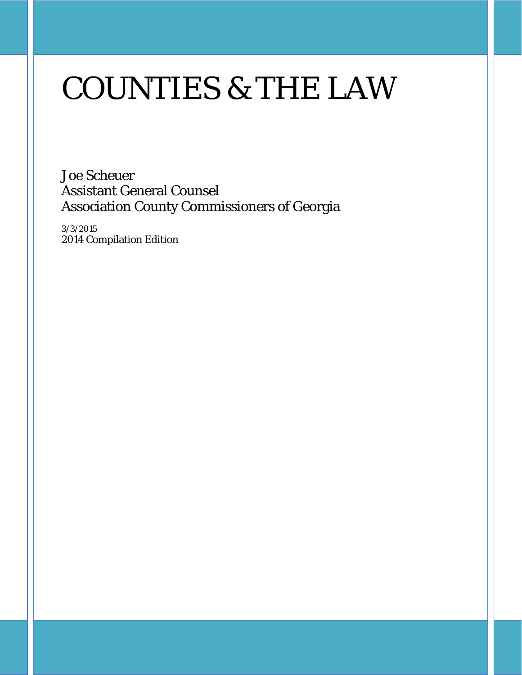# COUNTIES & THE LAW

Joe Scheuer Assistant General Counsel Association County Commissioners of Georgia

3/3/2015 2014 Compilation Edition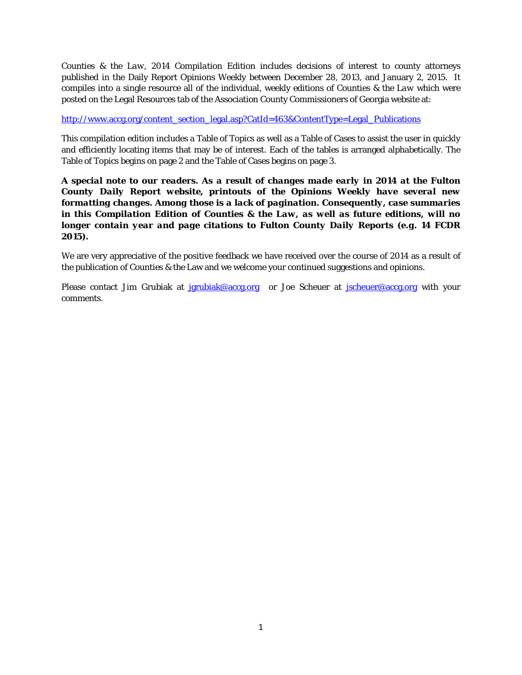*Counties & the Law, 2014 Compilation Edition* includes decisions of interest to county attorneys published in the Daily Report Opinions Weekly between December 28, 2013, and January 2, 2015. It compiles into a single resource all of the individual, weekly editions of *Counties & the Law* which were posted on the Legal Resources tab of the Association County Commissioners of Georgia website at:

#### [http://www.accg.org/content\\_section\\_legal.asp?CatId=463&ContentType=Legal\\_Publications](http://www.accg.org/content_section_legal.asp?CatId=463&ContentType=Legal_Publications)

This compilation edition includes a Table of Topics as well as a Table of Cases to assist the user in quickly and efficiently locating items that may be of interest. Each of the tables is arranged alphabetically. The Table of Topics begins on page 2 and the Table of Cases begins on page 3.

#### *A special note to our readers. As a result of changes made early in 2014 at the Fulton County Daily Report website, printouts of the Opinions Weekly have several new formatting changes. Among those is a lack of pagination. Consequently, case summaries in this Compilation Edition of Counties & the Law, as well as future editions, will no longer contain year and page citations to Fulton County Daily Reports (e.g. 14 FCDR 2015).*

We are very appreciative of the positive feedback we have received over the course of 2014 as a result of the publication of *Counties & the* Law and we welcome your continued suggestions and opinions.

Please contact Jim Grubiak at [jgrubiak@accg.org](mailto:jgrubiak@accg.org) or Joe Scheuer at [jscheuer@accg.org](mailto:jscheuer@accg.org) with your comments.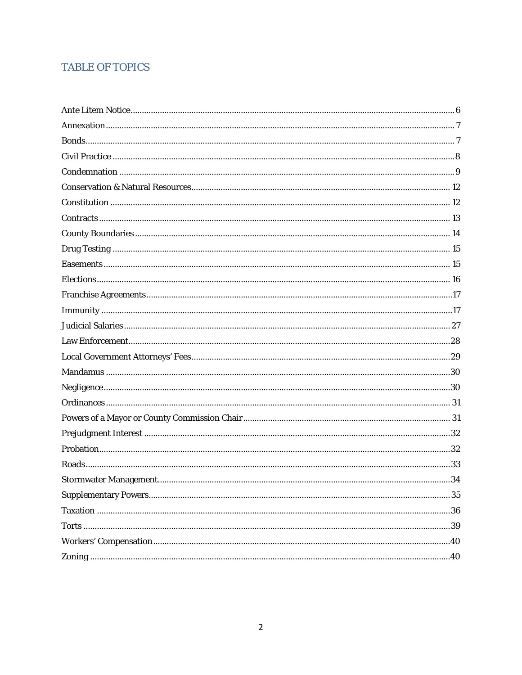#### **TABLE OF TOPICS**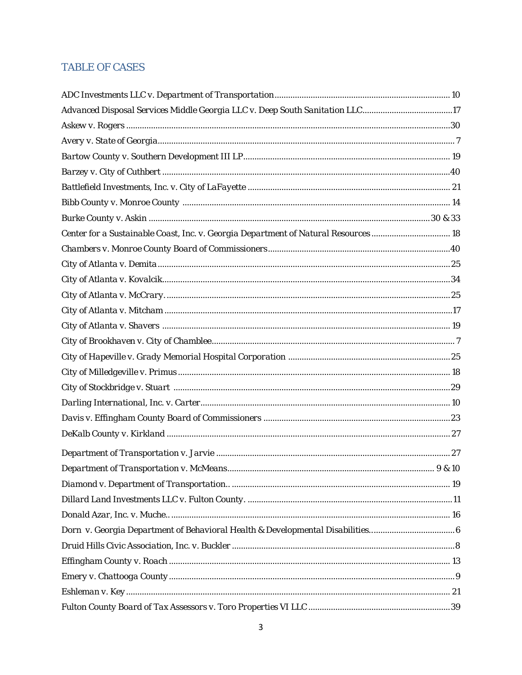#### **TABLE OF CASES**

| Advanced Disposal Services Middle Georgia LLC v. Deep South Sanitation LLC17      |        |
|-----------------------------------------------------------------------------------|--------|
|                                                                                   |        |
|                                                                                   |        |
|                                                                                   |        |
|                                                                                   |        |
|                                                                                   |        |
|                                                                                   |        |
|                                                                                   |        |
| Center for a Sustainable Coast, Inc. v. Georgia Department of Natural Resources18 |        |
|                                                                                   |        |
|                                                                                   |        |
|                                                                                   |        |
|                                                                                   |        |
|                                                                                   |        |
|                                                                                   |        |
|                                                                                   |        |
|                                                                                   |        |
|                                                                                   |        |
|                                                                                   |        |
|                                                                                   |        |
|                                                                                   |        |
|                                                                                   |        |
|                                                                                   |        |
|                                                                                   | 9 & 10 |
|                                                                                   |        |
|                                                                                   |        |
|                                                                                   |        |
| Dorn v. Georgia Department of Behavioral Health & Developmental Disabilities      |        |
|                                                                                   |        |
|                                                                                   |        |
|                                                                                   |        |
|                                                                                   |        |
|                                                                                   |        |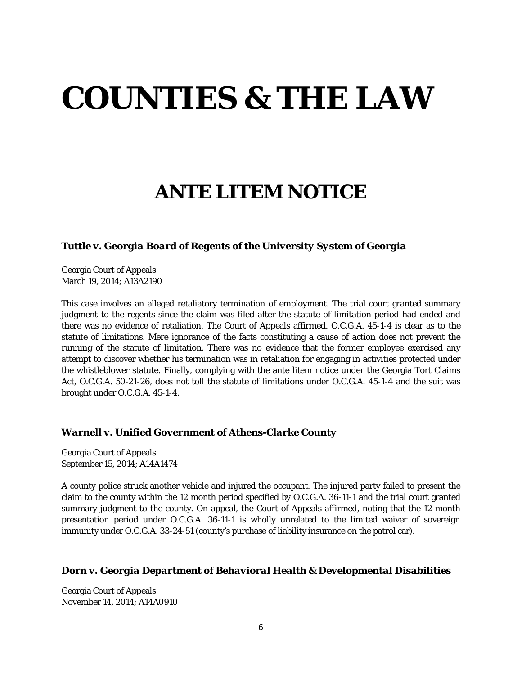# **COUNTIES & THE LAW**

## **ANTE LITEM NOTICE**

#### *Tuttle v. Georgia Board of Regents of the University System of Georgia*

Georgia Court of Appeals March 19, 2014; A13A2190

This case involves an alleged retaliatory termination of employment. The trial court granted summary judgment to the regents since the claim was filed after the statute of limitation period had ended and there was no evidence of retaliation. The Court of Appeals affirmed. O.C.G.A. 45-1-4 is clear as to the statute of limitations. Mere ignorance of the facts constituting a cause of action does not prevent the running of the statute of limitation. There was no evidence that the former employee exercised any attempt to discover whether his termination was in retaliation for engaging in activities protected under the whistleblower statute. Finally, complying with the ante litem notice under the Georgia Tort Claims Act, O.C.G.A. 50-21-26, does not toll the statute of limitations under O.C.G.A. 45-1-4 and the suit was brought under O.C.G.A. 45-1-4.

#### *Warnell v. Unified Government of Athens-Clarke County*

Georgia Court of Appeals September 15, 2014; A14A1474

A county police struck another vehicle and injured the occupant. The injured party failed to present the claim to the county within the 12 month period specified by O.C.G.A. 36-11-1 and the trial court granted summary judgment to the county. On appeal, the Court of Appeals affirmed, noting that the 12 month presentation period under O.C.G.A. 36-11-1 is wholly unrelated to the limited waiver of sovereign immunity under O.C.G.A. 33-24-51 (county's purchase of liability insurance on the patrol car).

#### *Dorn v. Georgia Department of Behavioral Health & Developmental Disabilities*

Georgia Court of Appeals November 14, 2014; A14A0910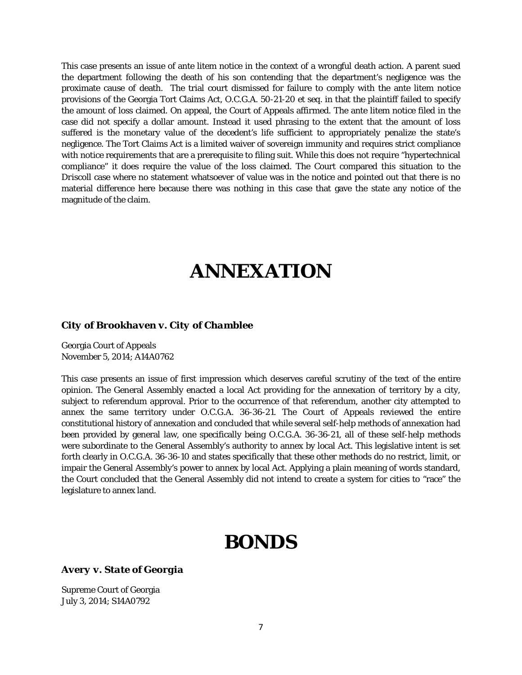This case presents an issue of ante litem notice in the context of a wrongful death action. A parent sued the department following the death of his son contending that the department's negligence was the proximate cause of death. The trial court dismissed for failure to comply with the ante litem notice provisions of the Georgia Tort Claims Act, O.C.G.A. 50-21-20 et seq. in that the plaintiff failed to specify the amount of loss claimed. On appeal, the Court of Appeals affirmed. The ante litem notice filed in the case did not specify a dollar amount. Instead it used phrasing to the extent that the amount of loss suffered is the monetary value of the decedent's life sufficient to appropriately penalize the state's negligence. The Tort Claims Act is a limited waiver of sovereign immunity and requires strict compliance with notice requirements that are a prerequisite to filing suit. While this does not require "hypertechnical compliance" it does require the value of the loss claimed. The Court compared this situation to the *Driscoll* case where no statement whatsoever of value was in the notice and pointed out that there is no material difference here because there was nothing in this case that gave the state any notice of the magnitude of the claim.

### **ANNEXATION**

#### *City of Brookhaven v. City of Chamblee*

Georgia Court of Appeals November 5, 2014; A14A0762

This case presents an issue of first impression which deserves careful scrutiny of the text of the entire opinion. The General Assembly enacted a local Act providing for the annexation of territory by a city, subject to referendum approval. Prior to the occurrence of that referendum, another city attempted to annex the same territory under O.C.G.A. 36-36-21. The Court of Appeals reviewed the entire constitutional history of annexation and concluded that while several self-help methods of annexation had been provided by general law, one specifically being O.C.G.A. 36-36-21, all of these self-help methods were subordinate to the General Assembly's authority to annex by local Act. This legislative intent is set forth clearly in O.C.G.A. 36-36-10 and states specifically that these other methods do no restrict, limit, or impair the General Assembly's power to annex by local Act. Applying a plain meaning of words standard, the Court concluded that the General Assembly did not intend to create a system for cities to "race" the legislature to annex land.

### **BONDS**

#### *Avery v. State of Georgia*

Supreme Court of Georgia July 3, 2014; S14A0792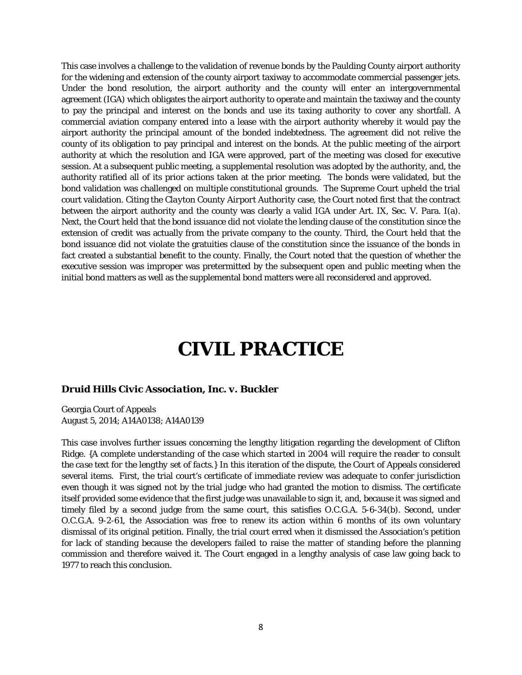This case involves a challenge to the validation of revenue bonds by the Paulding County airport authority for the widening and extension of the county airport taxiway to accommodate commercial passenger jets. Under the bond resolution, the airport authority and the county will enter an intergovernmental agreement (IGA) which obligates the airport authority to operate and maintain the taxiway and the county to pay the principal and interest on the bonds and use its taxing authority to cover any shortfall. A commercial aviation company entered into a lease with the airport authority whereby it would pay the airport authority the principal amount of the bonded indebtedness. The agreement did not relive the county of its obligation to pay principal and interest on the bonds. At the public meeting of the airport authority at which the resolution and IGA were approved, part of the meeting was closed for executive session. At a subsequent public meeting, a supplemental resolution was adopted by the authority, and, the authority ratified all of its prior actions taken at the prior meeting. The bonds were validated, but the bond validation was challenged on multiple constitutional grounds. The Supreme Court upheld the trial court validation. Citing the *Clayton County Airport Authority* case, the Court noted first that the contract between the airport authority and the county was clearly a valid IGA under Art. IX, Sec. V. Para. I(a). Next, the Court held that the bond issuance did not violate the lending clause of the constitution since the extension of credit was actually from the private company to the county. Third, the Court held that the bond issuance did not violate the gratuities clause of the constitution since the issuance of the bonds in fact created a substantial benefit to the county. Finally, the Court noted that the question of whether the executive session was improper was pretermitted by the subsequent open and public meeting when the initial bond matters as well as the supplemental bond matters were all reconsidered and approved.

### **CIVIL PRACTICE**

#### *Druid Hills Civic Association, Inc. v. Buckler*

Georgia Court of Appeals August 5, 2014; A14A0138; A14A0139

This case involves further issues concerning the lengthy litigation regarding the development of Clifton Ridge. *{A complete understanding of the case which started in 2004 will require the reader to consult the case text for the lengthy set of facts.}* In this iteration of the dispute, the Court of Appeals considered several items. First, the trial court's certificate of immediate review was adequate to confer jurisdiction even though it was signed not by the trial judge who had granted the motion to dismiss. The certificate itself provided some evidence that the first judge was unavailable to sign it, and, because it was signed and timely filed by a second judge from the same court, this satisfies O.C.G.A. 5-6-34(b). Second, under O.C.G.A. 9-2-61, the Association was free to renew its action within 6 months of its own voluntary dismissal of its original petition. Finally, the trial court erred when it dismissed the Association's petition for lack of standing because the developers failed to raise the matter of standing before the planning commission and therefore waived it. The Court engaged in a lengthy analysis of case law going back to 1977 to reach this conclusion.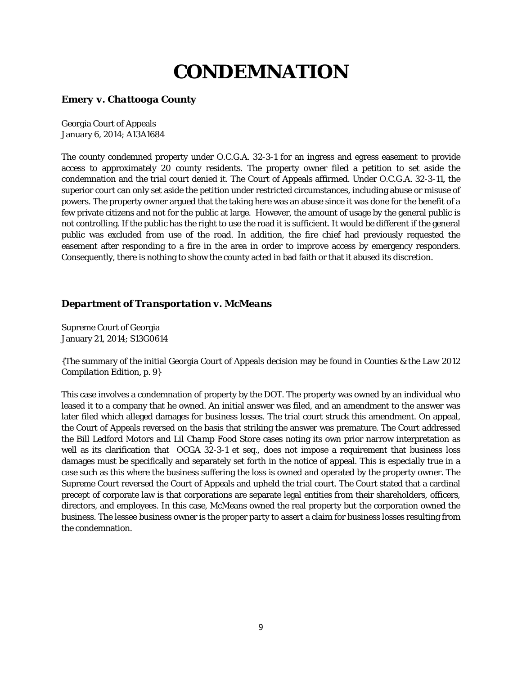# **CONDEMNATION**

#### *Emery v. Chattooga County*

Georgia Court of Appeals January 6, 2014; A13A1684

The county condemned property under O.C.G.A. 32-3-1 for an ingress and egress easement to provide access to approximately 20 county residents. The property owner filed a petition to set aside the condemnation and the trial court denied it. The Court of Appeals affirmed. Under O.C.G.A. 32-3-11, the superior court can only set aside the petition under restricted circumstances, including abuse or misuse of powers. The property owner argued that the taking here was an abuse since it was done for the benefit of a few private citizens and not for the public at large. However, the amount of usage by the general public is not controlling. If the public has the right to use the road it is sufficient. It would be different if the general public was excluded from use of the road. In addition, the fire chief had previously requested the easement after responding to a fire in the area in order to improve access by emergency responders. Consequently, there is nothing to show the county acted in bad faith or that it abused its discretion.

#### *Department of Transportation v. McMeans*

Supreme Court of Georgia January 21, 2014; S13G0614

{The summary of the initial Georgia Court of Appeals decision may be found in *Counties & the Law 2012 Compilation Edition*, p. 9}

This case involves a condemnation of property by the DOT. The property was owned by an individual who leased it to a company that he owned. An initial answer was filed, and an amendment to the answer was later filed which alleged damages for business losses. The trial court struck this amendment. On appeal, the Court of Appeals reversed on the basis that striking the answer was premature. The Court addressed the *Bill Ledford Motors* and *Lil Champ Food Store* cases noting its own prior narrow interpretation as well as its clarification that OCGA 32-3-1 *et seq.,* does not impose a requirement that business loss damages must be specifically and separately set forth in the notice of appeal. This is especially true in a case such as this where the business suffering the loss is owned and operated by the property owner. The Supreme Court reversed the Court of Appeals and upheld the trial court. The Court stated that a cardinal precept of corporate law is that corporations are separate legal entities from their shareholders, officers, directors, and employees. In this case, McMeans owned the real property but the corporation owned the business. The lessee business owner is the proper party to assert a claim for business losses resulting from the condemnation.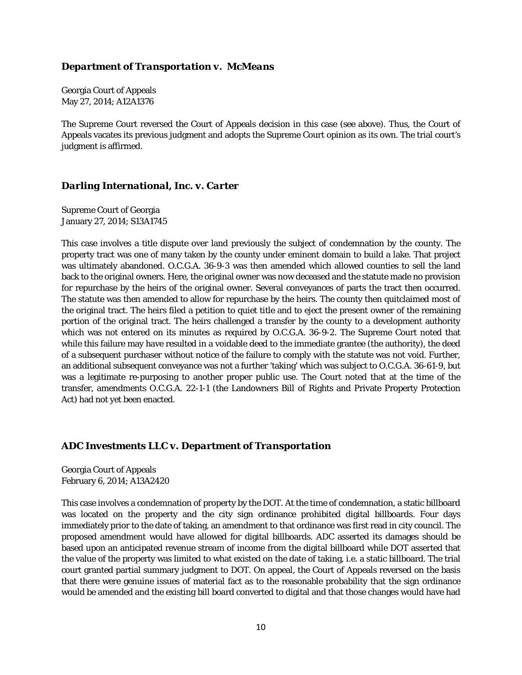#### *Department of Transportation v. McMeans*

Georgia Court of Appeals May 27, 2014; A12A1376

The Supreme Court reversed the Court of Appeals decision in this case (see above). Thus, the Court of Appeals vacates its previous judgment and adopts the Supreme Court opinion as its own. The trial court's judgment is affirmed.

#### *Darling International, Inc. v. Carter*

Supreme Court of Georgia January 27, 2014; S13A1745

This case involves a title dispute over land previously the subject of condemnation by the county. The property tract was one of many taken by the county under eminent domain to build a lake. That project was ultimately abandoned. O.C.G.A. 36-9-3 was then amended which allowed counties to sell the land back to the original owners. Here, the original owner was now deceased and the statute made no provision for repurchase by the heirs of the original owner. Several conveyances of parts the tract then occurred. The statute was then amended to allow for repurchase by the heirs. The county then quitclaimed most of the original tract. The heirs filed a petition to quiet title and to eject the present owner of the remaining portion of the original tract. The heirs challenged a transfer by the county to a development authority which was not entered on its minutes as required by O.C.G.A. 36-9-2. The Supreme Court noted that while this failure may have resulted in a voidable deed to the immediate grantee (the authority), the deed of a subsequent purchaser without notice of the failure to comply with the statute was not void. Further, an additional subsequent conveyance was not a further 'taking' which was subject to O.C.G.A. 36-61-9, but was a legitimate re-purposing to another proper public use. The Court noted that at the time of the transfer, amendments O.C.G.A. 22-1-1 (the Landowners Bill of Rights and Private Property Protection Act) had not yet been enacted.

#### *ADC Investments LLC v. Department of Transportation*

Georgia Court of Appeals February 6, 2014; A13A2420

This case involves a condemnation of property by the DOT. At the time of condemnation, a static billboard was located on the property and the city sign ordinance prohibited digital billboards. Four days immediately prior to the date of taking, an amendment to that ordinance was first read in city council. The proposed amendment would have allowed for digital billboards. ADC asserted its damages should be based upon an anticipated revenue stream of income from the digital billboard while DOT asserted that the value of the property was limited to what existed on the date of taking, *i.e.* a static billboard. The trial court granted partial summary judgment to DOT. On appeal, the Court of Appeals reversed on the basis that there were genuine issues of material fact as to the reasonable probability that the sign ordinance would be amended and the existing bill board converted to digital and that those changes would have had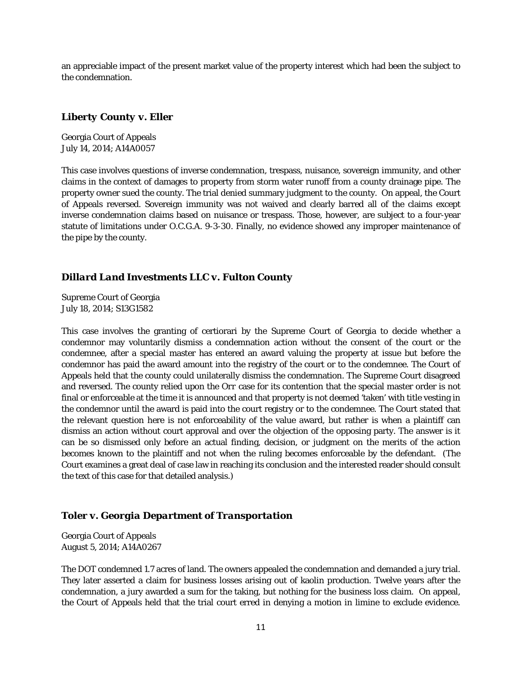an appreciable impact of the present market value of the property interest which had been the subject to the condemnation.

#### *Liberty County v. Eller*

Georgia Court of Appeals July 14, 2014; A14A0057

This case involves questions of inverse condemnation, trespass, nuisance, sovereign immunity, and other claims in the context of damages to property from storm water runoff from a county drainage pipe. The property owner sued the county. The trial denied summary judgment to the county. On appeal, the Court of Appeals reversed. Sovereign immunity was not waived and clearly barred all of the claims except inverse condemnation claims based on nuisance or trespass. Those, however, are subject to a four-year statute of limitations under O.C.G.A. 9-3-30. Finally, no evidence showed any improper maintenance of the pipe by the county.

#### *Dillard Land Investments LLC v. Fulton County*

Supreme Court of Georgia July 18, 2014; S13G1582

This case involves the granting of certiorari by the Supreme Court of Georgia to decide whether a condemnor may voluntarily dismiss a condemnation action without the consent of the court or the condemnee, after a special master has entered an award valuing the property at issue but before the condemnor has paid the award amount into the registry of the court or to the condemnee. The Court of Appeals held that the county could unilaterally dismiss the condemnation. The Supreme Court disagreed and reversed. The county relied upon the *Orr* case for its contention that the special master order is not final or enforceable at the time it is announced and that property is not deemed 'taken' with title vesting in the condemnor until the award is paid into the court registry or to the condemnee. The Court stated that the relevant question here is not enforceability of the value award, but rather is when a plaintiff can dismiss an action without court approval and over the objection of the opposing party. The answer is it can be so dismissed only before an actual finding, decision, or judgment on the merits of the action becomes known to the plaintiff and not when the ruling becomes enforceable by the defendant. (The Court examines a great deal of case law in reaching its conclusion and the interested reader should consult the text of this case for that detailed analysis.)

#### *Toler v. Georgia Department of Transportation*

Georgia Court of Appeals August 5, 2014; A14A0267

The DOT condemned 1.7 acres of land. The owners appealed the condemnation and demanded a jury trial. They later asserted a claim for business losses arising out of kaolin production. Twelve years after the condemnation, a jury awarded a sum for the taking, but nothing for the business loss claim. On appeal, the Court of Appeals held that the trial court erred in denying a motion in limine to exclude evidence.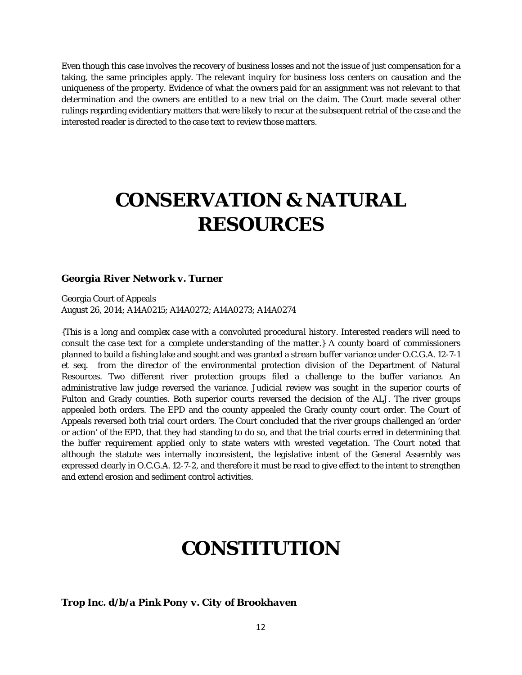Even though this case involves the recovery of business losses and not the issue of just compensation for a taking, the same principles apply. The relevant inquiry for business loss centers on causation and the uniqueness of the property. Evidence of what the owners paid for an assignment was not relevant to that determination and the owners are entitled to a new trial on the claim. The Court made several other rulings regarding evidentiary matters that were likely to recur at the subsequent retrial of the case and the interested reader is directed to the case text to review those matters.

# **CONSERVATION & NATURAL RESOURCES**

#### *Georgia River Network v. Turner*

Georgia Court of Appeals August 26, 2014; A14A0215; A14A0272; A14A0273; A14A0274

*{This is a long and complex case with a convoluted procedural history. Interested readers will need to consult the case text for a complete understanding of the matter.}* A county board of commissioners planned to build a fishing lake and sought and was granted a stream buffer variance under O.C.G.A. 12-7-1 et seq. from the director of the environmental protection division of the Department of Natural Resources. Two different river protection groups filed a challenge to the buffer variance. An administrative law judge reversed the variance. Judicial review was sought in the superior courts of Fulton and Grady counties. Both superior courts reversed the decision of the ALJ. The river groups appealed both orders. The EPD and the county appealed the Grady county court order. The Court of Appeals reversed both trial court orders. The Court concluded that the river groups challenged an 'order or action' of the EPD, that they had standing to do so, and that the trial courts erred in determining that the buffer requirement applied only to state waters with wrested vegetation. The Court noted that although the statute was internally inconsistent, the legislative intent of the General Assembly was expressed clearly in O.C.G.A. 12-7-2, and therefore it must be read to give effect to the intent to strengthen and extend erosion and sediment control activities.

### **CONSTITUTION**

*Trop Inc. d/b/a Pink Pony v. City of Brookhaven*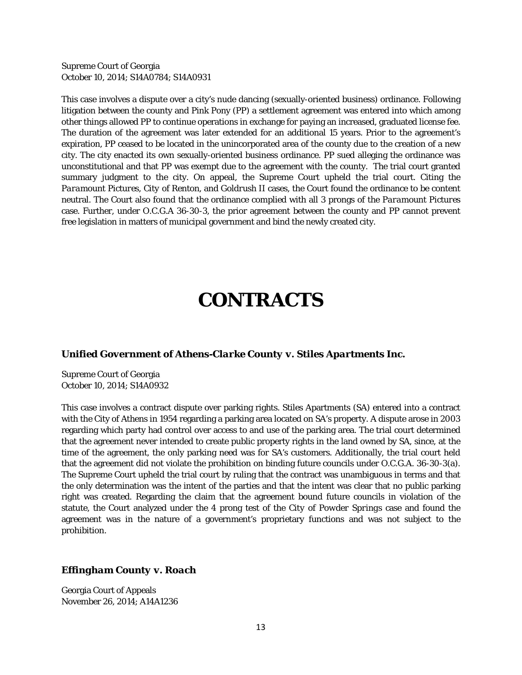Supreme Court of Georgia October 10, 2014; S14A0784; S14A0931

This case involves a dispute over a city's nude dancing (sexually-oriented business) ordinance. Following litigation between the county and Pink Pony (PP) a settlement agreement was entered into which among other things allowed PP to continue operations in exchange for paying an increased, graduated license fee. The duration of the agreement was later extended for an additional 15 years. Prior to the agreement's expiration, PP ceased to be located in the unincorporated area of the county due to the creation of a new city. The city enacted its own sexually-oriented business ordinance. PP sued alleging the ordinance was unconstitutional and that PP was exempt due to the agreement with the county. The trial court granted summary judgment to the city. On appeal, the Supreme Court upheld the trial court. Citing the *Paramount Pictures, City of Renton*, and *Goldrush II* cases, the Court found the ordinance to be content neutral. The Court also found that the ordinance complied with all 3 prongs of the *Paramount Pictures* case. Further, under O.C.G.A 36-30-3, the prior agreement between the county and PP cannot prevent free legislation in matters of municipal government and bind the newly created city.

### **CONTRACTS**

#### *Unified Government of Athens-Clarke County v. Stiles Apartments Inc.*

Supreme Court of Georgia October 10, 2014; S14A0932

This case involves a contract dispute over parking rights. Stiles Apartments (SA) entered into a contract with the City of Athens in 1954 regarding a parking area located on SA's property. A dispute arose in 2003 regarding which party had control over access to and use of the parking area. The trial court determined that the agreement never intended to create public property rights in the land owned by SA, since, at the time of the agreement, the only parking need was for SA's customers. Additionally, the trial court held that the agreement did not violate the prohibition on binding future councils under O.C.G.A. 36-30-3(a). The Supreme Court upheld the trial court by ruling that the contract was unambiguous in terms and that the only determination was the intent of the parties and that the intent was clear that no public parking right was created. Regarding the claim that the agreement bound future councils in violation of the statute, the Court analyzed under the 4 prong test of the *City of Powder Springs* case and found the agreement was in the nature of a government's proprietary functions and was not subject to the prohibition.

#### *Effingham County v. Roach*

Georgia Court of Appeals November 26, 2014; A14A1236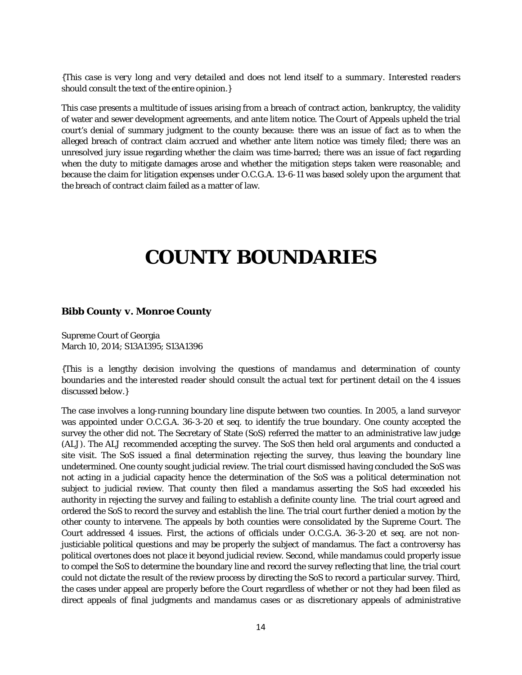*{This case is very long and very detailed and does not lend itself to a summary. Interested readers should consult the text of the entire opinion.}*

This case presents a multitude of issues arising from a breach of contract action, bankruptcy, the validity of water and sewer development agreements, and ante litem notice. The Court of Appeals upheld the trial court's denial of summary judgment to the county because: there was an issue of fact as to when the alleged breach of contract claim accrued and whether ante litem notice was timely filed; there was an unresolved jury issue regarding whether the claim was time-barred; there was an issue of fact regarding when the duty to mitigate damages arose and whether the mitigation steps taken were reasonable; and because the claim for litigation expenses under O.C.G.A. 13-6-11 was based solely upon the argument that the breach of contract claim failed as a matter of law.

### **COUNTY BOUNDARIES**

#### *Bibb County v. Monroe County*

Supreme Court of Georgia March 10, 2014; S13A1395; S13A1396

*{This is a lengthy decision involving the questions of mandamus and determination of county boundaries and the interested reader should consult the actual text for pertinent detail on the 4 issues discussed below.}*

The case involves a long-running boundary line dispute between two counties. In 2005, a land surveyor was appointed under O.C.G.A. 36-3-20 *et seq.* to identify the true boundary. One county accepted the survey the other did not. The Secretary of State (SoS) referred the matter to an administrative law judge (ALJ). The ALJ recommended accepting the survey. The SoS then held oral arguments and conducted a site visit. The SoS issued a final determination rejecting the survey, thus leaving the boundary line undetermined. One county sought judicial review. The trial court dismissed having concluded the SoS was not acting in a judicial capacity hence the determination of the SoS was a political determination not subject to judicial review. That county then filed a mandamus asserting the SoS had exceeded his authority in rejecting the survey and failing to establish a definite county line. The trial court agreed and ordered the SoS to record the survey and establish the line. The trial court further denied a motion by the other county to intervene. The appeals by both counties were consolidated by the Supreme Court. The Court addressed 4 issues. First, the actions of officials under O.C.G.A. 36-3-20 *et seq.* are not nonjusticiable political questions and may be properly the subject of mandamus. The fact a controversy has political overtones does not place it beyond judicial review. Second, while mandamus could properly issue to compel the SoS to determine the boundary line and record the survey reflecting that line, the trial court could not dictate the result of the review process by directing the SoS to record a particular survey. Third, the cases under appeal are properly before the Court regardless of whether or not they had been filed as direct appeals of final judgments and mandamus cases or as discretionary appeals of administrative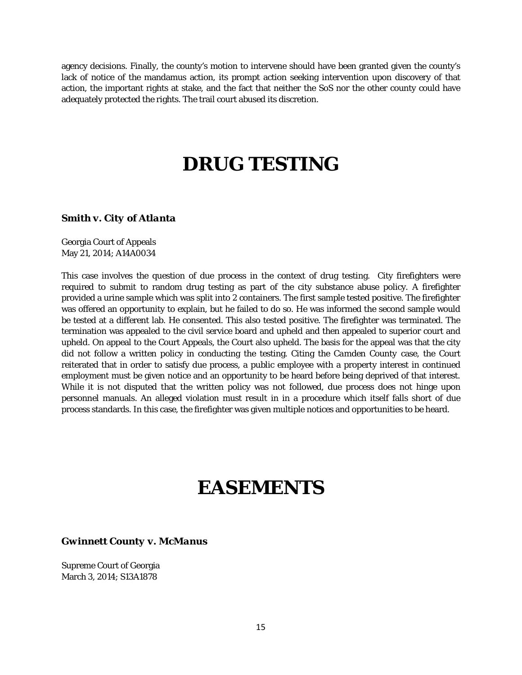agency decisions. Finally, the county's motion to intervene should have been granted given the county's lack of notice of the mandamus action, its prompt action seeking intervention upon discovery of that action, the important rights at stake, and the fact that neither the SoS nor the other county could have adequately protected the rights. The trail court abused its discretion.

# **DRUG TESTING**

#### *Smith v. City of Atlanta*

Georgia Court of Appeals May 21, 2014; A14A0034

This case involves the question of due process in the context of drug testing. City firefighters were required to submit to random drug testing as part of the city substance abuse policy. A firefighter provided a urine sample which was split into 2 containers. The first sample tested positive. The firefighter was offered an opportunity to explain, but he failed to do so. He was informed the second sample would be tested at a different lab. He consented. This also tested positive. The firefighter was terminated. The termination was appealed to the civil service board and upheld and then appealed to superior court and upheld. On appeal to the Court Appeals, the Court also upheld. The basis for the appeal was that the city did not follow a written policy in conducting the testing. Citing the *Camden County* case, the Court reiterated that in order to satisfy due process, a public employee with a property interest in continued employment must be given notice and an opportunity to be heard before being deprived of that interest. While it is not disputed that the written policy was not followed, due process does not hinge upon personnel manuals. An alleged violation must result in in a procedure which itself falls short of due process standards. In this case, the firefighter was given multiple notices and opportunities to be heard.

### **EASEMENTS**

#### *Gwinnett County v. McManus*

Supreme Court of Georgia March 3, 2014; S13A1878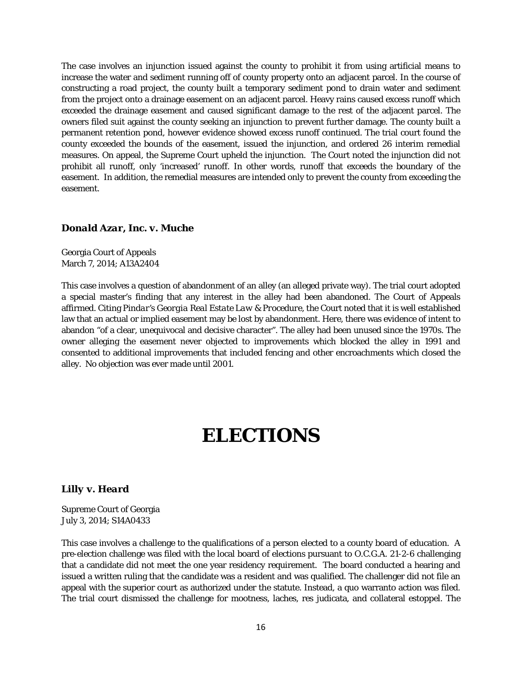The case involves an injunction issued against the county to prohibit it from using artificial means to increase the water and sediment running off of county property onto an adjacent parcel. In the course of constructing a road project, the county built a temporary sediment pond to drain water and sediment from the project onto a drainage easement on an adjacent parcel. Heavy rains caused excess runoff which exceeded the drainage easement and caused significant damage to the rest of the adjacent parcel. The owners filed suit against the county seeking an injunction to prevent further damage. The county built a permanent retention pond, however evidence showed excess runoff continued. The trial court found the county exceeded the bounds of the easement, issued the injunction, and ordered 26 interim remedial measures. On appeal, the Supreme Court upheld the injunction. The Court noted the injunction did not prohibit all runoff, only 'increased' runoff. In other words, runoff that exceeds the boundary of the easement. In addition, the remedial measures are intended only to prevent the county from exceeding the easement.

#### *Donald Azar, Inc. v. Muche*

Georgia Court of Appeals March 7, 2014; A13A2404

This case involves a question of abandonment of an alley (an alleged private way). The trial court adopted a special master's finding that any interest in the alley had been abandoned. The Court of Appeals affirmed. Citing *Pindar's Georgia Real Estate Law & Procedure*, the Court noted that it is well established law that an actual or implied easement may be lost by abandonment. Here, there was evidence of intent to abandon "of a clear, unequivocal and decisive character". The alley had been unused since the 1970s. The owner alleging the easement never objected to improvements which blocked the alley in 1991 and consented to additional improvements that included fencing and other encroachments which closed the alley. No objection was ever made until 2001.

## **ELECTIONS**

#### *Lilly v. Heard*

Supreme Court of Georgia July 3, 2014; S14A0433

This case involves a challenge to the qualifications of a person elected to a county board of education. A pre-election challenge was filed with the local board of elections pursuant to O.C.G.A. 21-2-6 challenging that a candidate did not meet the one year residency requirement. The board conducted a hearing and issued a written ruling that the candidate was a resident and was qualified. The challenger did not file an appeal with the superior court as authorized under the statute. Instead, a quo warranto action was filed. The trial court dismissed the challenge for mootness, laches, res judicata, and collateral estoppel. The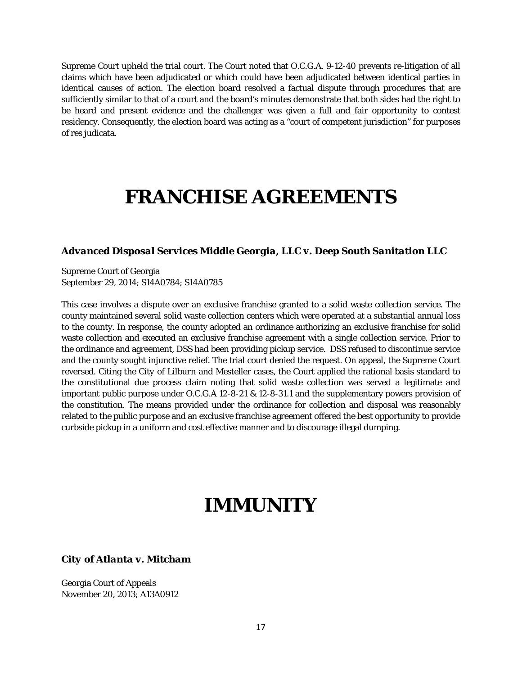Supreme Court upheld the trial court. The Court noted that O.C.G.A. 9-12-40 prevents re-litigation of all claims which have been adjudicated or which could have been adjudicated between identical parties in identical causes of action. The election board resolved a factual dispute through procedures that are sufficiently similar to that of a court and the board's minutes demonstrate that both sides had the right to be heard and present evidence and the challenger was given a full and fair opportunity to contest residency. Consequently, the election board was acting as a "court of competent jurisdiction" for purposes of res judicata.

### **FRANCHISE AGREEMENTS**

#### *Advanced Disposal Services Middle Georgia, LLC v. Deep South Sanitation LLC*

Supreme Court of Georgia September 29, 2014; S14A0784; S14A0785

This case involves a dispute over an exclusive franchise granted to a solid waste collection service. The county maintained several solid waste collection centers which were operated at a substantial annual loss to the county. In response, the county adopted an ordinance authorizing an exclusive franchise for solid waste collection and executed an exclusive franchise agreement with a single collection service. Prior to the ordinance and agreement, DSS had been providing pickup service. DSS refused to discontinue service and the county sought injunctive relief. The trial court denied the request. On appeal, the Supreme Court reversed. Citing the *City of Lilburn* and *Mesteller* cases, the Court applied the rational basis standard to the constitutional due process claim noting that solid waste collection was served a legitimate and important public purpose under O.C.G.A 12-8-21 & 12-8-31.1 and the supplementary powers provision of the constitution. The means provided under the ordinance for collection and disposal was reasonably related to the public purpose and an exclusive franchise agreement offered the best opportunity to provide curbside pickup in a uniform and cost effective manner and to discourage illegal dumping.

### **IMMUNITY**

#### *City of Atlanta v. Mitcham*

Georgia Court of Appeals November 20, 2013; A13A0912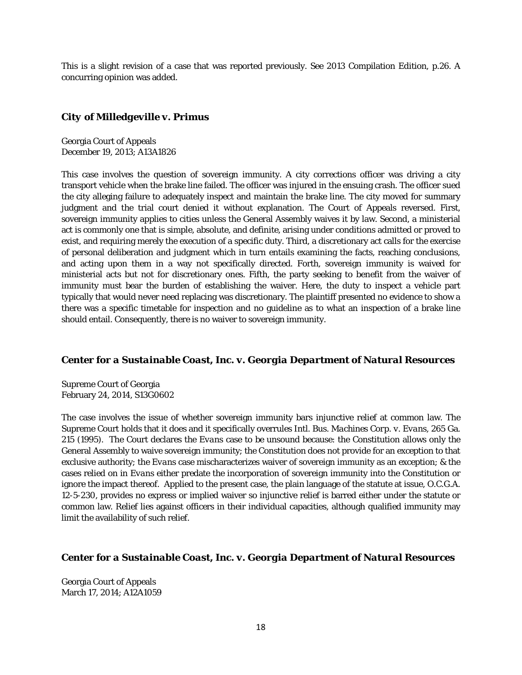This is a slight revision of a case that was reported previously. See 2013 Compilation Edition, p.26. A concurring opinion was added.

#### *City of Milledgeville v. Primus*

Georgia Court of Appeals December 19, 2013; A13A1826

This case involves the question of sovereign immunity. A city corrections officer was driving a city transport vehicle when the brake line failed. The officer was injured in the ensuing crash. The officer sued the city alleging failure to adequately inspect and maintain the brake line. The city moved for summary judgment and the trial court denied it without explanation. The Court of Appeals reversed. First, sovereign immunity applies to cities unless the General Assembly waives it by law. Second, a ministerial act is commonly one that is simple, absolute, and definite, arising under conditions admitted or proved to exist, and requiring merely the execution of a specific duty. Third, a discretionary act calls for the exercise of personal deliberation and judgment which in turn entails examining the facts, reaching conclusions, and acting upon them in a way not specifically directed. Forth, sovereign immunity is waived for ministerial acts but not for discretionary ones. Fifth, the party seeking to benefit from the waiver of immunity must bear the burden of establishing the waiver. Here, the duty to inspect a vehicle part typically that would never need replacing was discretionary. The plaintiff presented no evidence to show a there was a specific timetable for inspection and no guideline as to what an inspection of a brake line should entail. Consequently, there is no waiver to sovereign immunity.

#### *Center for a Sustainable Coast, Inc. v. Georgia Department of Natural Resources*

Supreme Court of Georgia February 24, 2014, S13G0602

The case involves the issue of whether sovereign immunity bars injunctive relief at common law. The Supreme Court holds that it does and it specifically overrules *Intl. Bus. Machines Corp. v. Evans*, 265 Ga. 215 (1995). The Court declares the *Evans* case to be unsound because: the Constitution allows only the General Assembly to waive sovereign immunity; the Constitution does not provide for an exception to that exclusive authority; the *Evans* case mischaracterizes waiver of sovereign immunity as an exception; & the cases relied on in *Evans* either predate the incorporation of sovereign immunity into the Constitution or ignore the impact thereof. Applied to the present case, the plain language of the statute at issue, O.C.G.A. 12-5-230, provides no express or implied waiver so injunctive relief is barred either under the statute or common law. Relief lies against officers in their individual capacities, although qualified immunity may limit the availability of such relief.

#### *Center for a Sustainable Coast, Inc. v. Georgia Department of Natural Resources*

Georgia Court of Appeals March 17, 2014; A12A1059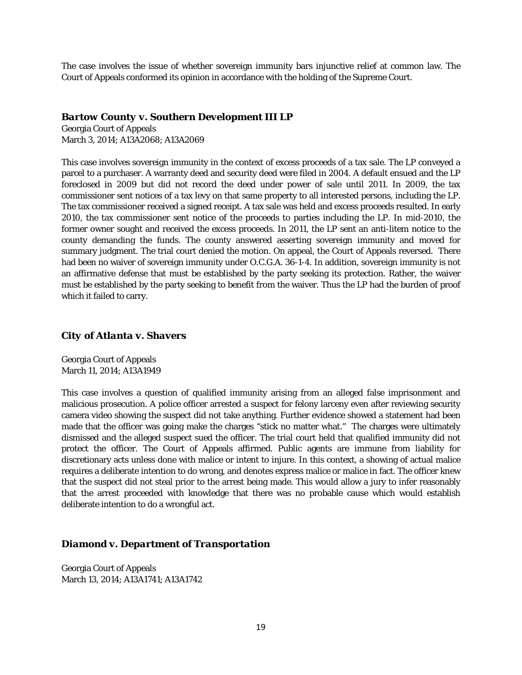The case involves the issue of whether sovereign immunity bars injunctive relief at common law. The Court of Appeals conformed its opinion in accordance with the holding of the Supreme Court.

#### *Bartow County v. Southern Development III LP*

Georgia Court of Appeals March 3, 2014; A13A2068; A13A2069

This case involves sovereign immunity in the context of excess proceeds of a tax sale. The LP conveyed a parcel to a purchaser. A warranty deed and security deed were filed in 2004. A default ensued and the LP foreclosed in 2009 but did not record the deed under power of sale until 2011. In 2009, the tax commissioner sent notices of a tax levy on that same property to all interested persons, including the LP. The tax commissioner received a signed receipt. A tax sale was held and excess proceeds resulted. In early 2010, the tax commissioner sent notice of the proceeds to parties including the LP. In mid-2010, the former owner sought and received the excess proceeds. In 2011, the LP sent an anti-litem notice to the county demanding the funds. The county answered asserting sovereign immunity and moved for summary judgment. The trial court denied the motion. On appeal, the Court of Appeals reversed. There had been no waiver of sovereign immunity under O.C.G.A. 36-1-4. In addition, sovereign immunity is not an affirmative defense that must be established by the party seeking its protection. Rather, the waiver must be established by the party seeking to benefit from the waiver. Thus the LP had the burden of proof which it failed to carry.

#### *City of Atlanta v. Shavers*

Georgia Court of Appeals March 11, 2014; A13A1949

This case involves a question of qualified immunity arising from an alleged false imprisonment and malicious prosecution. A police officer arrested a suspect for felony larceny even after reviewing security camera video showing the suspect did not take anything. Further evidence showed a statement had been made that the officer was going make the charges "stick no matter what." The charges were ultimately dismissed and the alleged suspect sued the officer. The trial court held that qualified immunity did not protect the officer. The Court of Appeals affirmed. Public agents are immune from liability for discretionary acts unless done with malice or intent to injure. In this context, a showing of actual malice requires a deliberate intention to do wrong, and denotes express malice or malice in fact. The officer knew that the suspect did not steal prior to the arrest being made. This would allow a jury to infer reasonably that the arrest proceeded with knowledge that there was no probable cause which would establish deliberate intention to do a wrongful act.

#### *Diamond v. Department of Transportation*

Georgia Court of Appeals March 13, 2014; A13A1741; A13A1742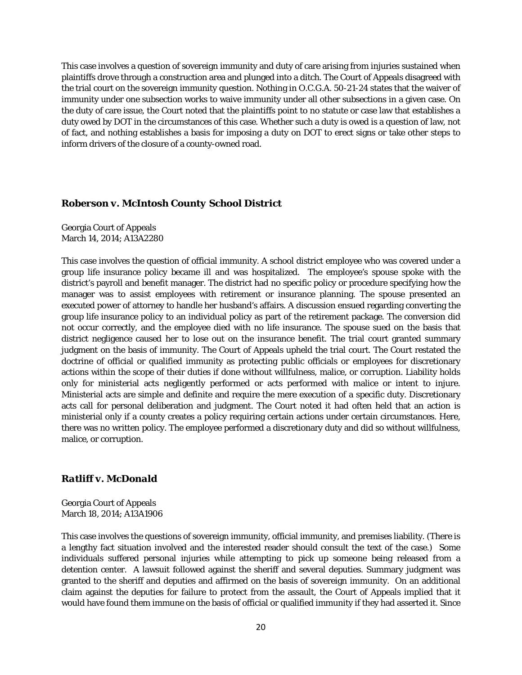This case involves a question of sovereign immunity and duty of care arising from injuries sustained when plaintiffs drove through a construction area and plunged into a ditch. The Court of Appeals disagreed with the trial court on the sovereign immunity question. Nothing in O.C.G.A. 50-21-24 states that the waiver of immunity under one subsection works to waive immunity under all other subsections in a given case. On the duty of care issue, the Court noted that the plaintiffs point to no statute or case law that establishes a duty owed by DOT in the circumstances of this case. Whether such a duty is owed is a question of law, not of fact, and nothing establishes a basis for imposing a duty on DOT to erect signs or take other steps to inform drivers of the closure of a county-owned road.

#### *Roberson v. McIntosh County School District*

Georgia Court of Appeals March 14, 2014; A13A2280

This case involves the question of official immunity. A school district employee who was covered under a group life insurance policy became ill and was hospitalized. The employee's spouse spoke with the district's payroll and benefit manager. The district had no specific policy or procedure specifying how the manager was to assist employees with retirement or insurance planning. The spouse presented an executed power of attorney to handle her husband's affairs. A discussion ensued regarding converting the group life insurance policy to an individual policy as part of the retirement package. The conversion did not occur correctly, and the employee died with no life insurance. The spouse sued on the basis that district negligence caused her to lose out on the insurance benefit. The trial court granted summary judgment on the basis of immunity. The Court of Appeals upheld the trial court. The Court restated the doctrine of official or qualified immunity as protecting public officials or employees for discretionary actions within the scope of their duties if done without willfulness, malice, or corruption. Liability holds only for ministerial acts negligently performed or acts performed with malice or intent to injure. Ministerial acts are simple and definite and require the mere execution of a specific duty. Discretionary acts call for personal deliberation and judgment. The Court noted it had often held that an action is ministerial only if a county creates a policy requiring certain actions under certain circumstances. Here, there was no written policy. The employee performed a discretionary duty and did so without willfulness, malice, or corruption.

#### *Ratliff v. McDonald*

Georgia Court of Appeals March 18, 2014; A13A1906

This case involves the questions of sovereign immunity, official immunity, and premises liability. (There is a lengthy fact situation involved and the interested reader should consult the text of the case.) Some individuals suffered personal injuries while attempting to pick up someone being released from a detention center. A lawsuit followed against the sheriff and several deputies. Summary judgment was granted to the sheriff and deputies and affirmed on the basis of sovereign immunity. On an additional claim against the deputies for failure to protect from the assault, the Court of Appeals implied that it would have found them immune on the basis of official or qualified immunity if they had asserted it. Since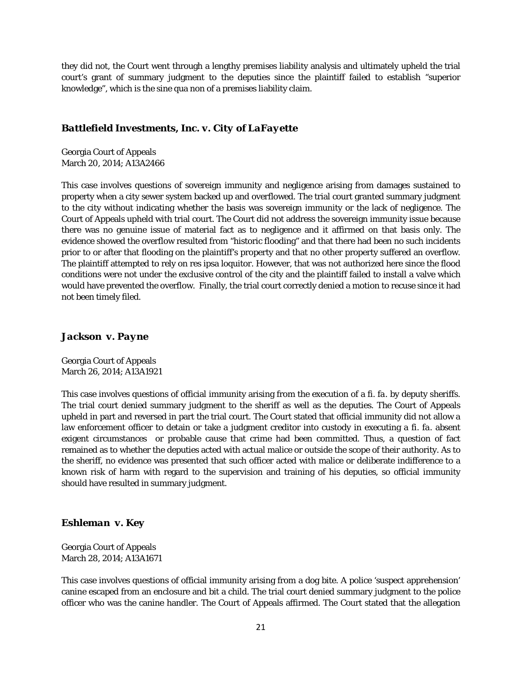they did not, the Court went through a lengthy premises liability analysis and ultimately upheld the trial court's grant of summary judgment to the deputies since the plaintiff failed to establish "superior knowledge", which is the sine qua non of a premises liability claim.

#### *Battlefield Investments, Inc. v. City of LaFayette*

Georgia Court of Appeals March 20, 2014; A13A2466

This case involves questions of sovereign immunity and negligence arising from damages sustained to property when a city sewer system backed up and overflowed. The trial court granted summary judgment to the city without indicating whether the basis was sovereign immunity or the lack of negligence. The Court of Appeals upheld with trial court. The Court did not address the sovereign immunity issue because there was no genuine issue of material fact as to negligence and it affirmed on that basis only. The evidence showed the overflow resulted from "historic flooding" and that there had been no such incidents prior to or after that flooding on the plaintiff's property and that no other property suffered an overflow. The plaintiff attempted to rely on res ipsa loquitor. However, that was not authorized here since the flood conditions were not under the exclusive control of the city and the plaintiff failed to install a valve which would have prevented the overflow. Finally, the trial court correctly denied a motion to recuse since it had not been timely filed.

#### *Jackson v. Payne*

Georgia Court of Appeals March 26, 2014; A13A1921

This case involves questions of official immunity arising from the execution of a *fi. fa.* by deputy sheriffs. The trial court denied summary judgment to the sheriff as well as the deputies. The Court of Appeals upheld in part and reversed in part the trial court. The Court stated that official immunity did not allow a law enforcement officer to detain or take a judgment creditor into custody in executing a *fi. fa.* absent exigent circumstances or probable cause that crime had been committed. Thus, a question of fact remained as to whether the deputies acted with actual malice or outside the scope of their authority. As to the sheriff, no evidence was presented that such officer acted with malice or deliberate indifference to a known risk of harm with regard to the supervision and training of his deputies, so official immunity should have resulted in summary judgment.

#### *Eshleman v. Key*

Georgia Court of Appeals March 28, 2014; A13A1671

This case involves questions of official immunity arising from a dog bite. A police 'suspect apprehension' canine escaped from an enclosure and bit a child. The trial court denied summary judgment to the police officer who was the canine handler. The Court of Appeals affirmed. The Court stated that the allegation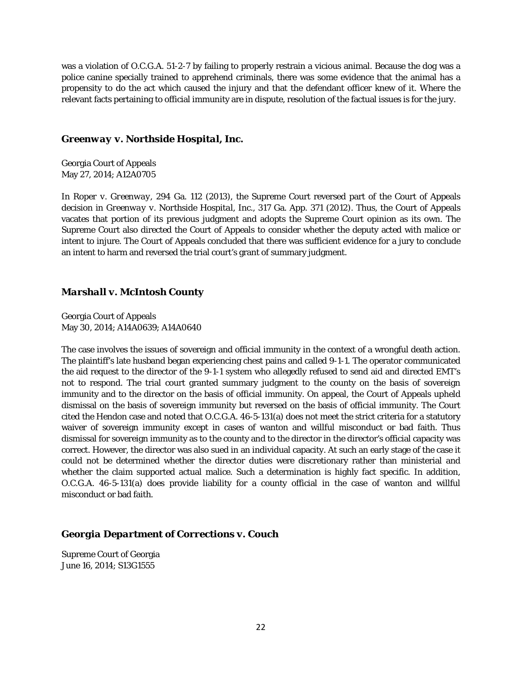was a violation of O.C.G.A. 51-2-7 by failing to properly restrain a vicious animal. Because the dog was a police canine specially trained to apprehend criminals, there was some evidence that the animal has a propensity to do the act which caused the injury and that the defendant officer knew of it. Where the relevant facts pertaining to official immunity are in dispute, resolution of the factual issues is for the jury.

#### *Greenway v. Northside Hospital, Inc.*

Georgia Court of Appeals May 27, 2014; A12A0705

In *Roper v. Greenway*, 294 Ga. 112 (2013), the Supreme Court reversed part of the Court of Appeals decision in *Greenway v. Northside Hospital, Inc.*, 317 Ga. App. 371 (2012). Thus, the Court of Appeals vacates that portion of its previous judgment and adopts the Supreme Court opinion as its own. The Supreme Court also directed the Court of Appeals to consider whether the deputy acted with malice or intent to injure. The Court of Appeals concluded that there was sufficient evidence for a jury to conclude an intent to harm and reversed the trial court's grant of summary judgment.

#### *Marshall v. McIntosh County*

Georgia Court of Appeals May 30, 2014; A14A0639; A14A0640

The case involves the issues of sovereign and official immunity in the context of a wrongful death action. The plaintiff's late husband began experiencing chest pains and called 9-1-1. The operator communicated the aid request to the director of the 9-1-1 system who allegedly refused to send aid and directed EMT's not to respond. The trial court granted summary judgment to the county on the basis of sovereign immunity and to the director on the basis of official immunity. On appeal, the Court of Appeals upheld dismissal on the basis of sovereign immunity but reversed on the basis of official immunity. The Court cited the *Hendon* case and noted that O.C.G.A. 46-5-131(a) does not meet the strict criteria for a statutory waiver of sovereign immunity except in cases of wanton and willful misconduct or bad faith. Thus dismissal for sovereign immunity as to the county and to the director in the director's official capacity was correct. However, the director was also sued in an individual capacity. At such an early stage of the case it could not be determined whether the director duties were discretionary rather than ministerial and whether the claim supported actual malice. Such a determination is highly fact specific. In addition, O.C.G.A. 46-5-131(a) does provide liability for a county official in the case of wanton and willful misconduct or bad faith.

#### *Georgia Department of Corrections v. Couch*

Supreme Court of Georgia June 16, 2014; S13G1555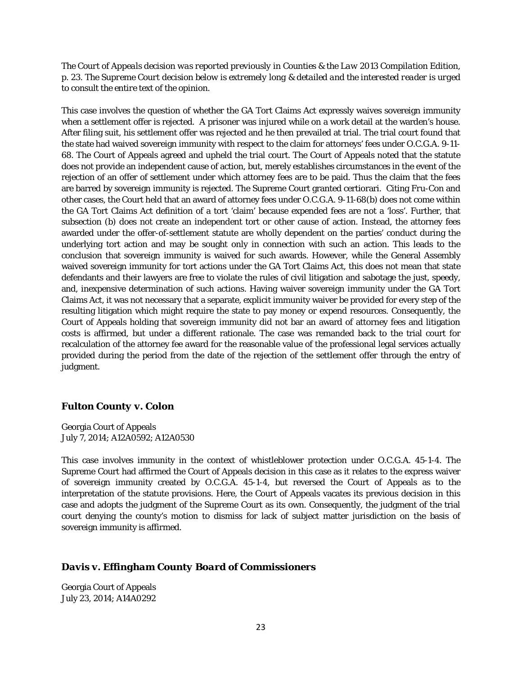*The Court of Appeals decision was reported previously in Counties & the Law 2013 Compilation Edition, p. 23. The Supreme Court decision below is extremely long & detailed and the interested reader is urged to consult the entire text of the opinion.*

This case involves the question of whether the GA Tort Claims Act expressly waives sovereign immunity when a settlement offer is rejected. A prisoner was injured while on a work detail at the warden's house. After filing suit, his settlement offer was rejected and he then prevailed at trial. The trial court found that the state had waived sovereign immunity with respect to the claim for attorneys' fees under O.C.G.A. 9-11- 68. The Court of Appeals agreed and upheld the trial court. The Court of Appeals noted that the statute does not provide an independent cause of action, but, merely establishes circumstances in the event of the rejection of an offer of settlement under which attorney fees are to be paid. Thus the claim that the fees are barred by sovereign immunity is rejected. The Supreme Court granted certiorari. Citing *Fru-Con* and other cases, the Court held that an award of attorney fees under O.C.G.A. 9-11-68(b) does not come within the GA Tort Claims Act definition of a tort 'claim' because expended fees are not a 'loss'. Further, that subsection (b) does not create an independent tort or other cause of action. Instead, the attorney fees awarded under the offer-of-settlement statute are wholly dependent on the parties' conduct during the underlying tort action and may be sought only in connection with such an action. This leads to the conclusion that sovereign immunity is waived for such awards. However, while the General Assembly waived sovereign immunity for tort actions under the GA Tort Claims Act, this does not mean that state defendants and their lawyers are free to violate the rules of civil litigation and sabotage the just, speedy, and, inexpensive determination of such actions. Having waiver sovereign immunity under the GA Tort Claims Act, it was not necessary that a separate, explicit immunity waiver be provided for every step of the resulting litigation which might require the state to pay money or expend resources. Consequently, the Court of Appeals holding that sovereign immunity did not bar an award of attorney fees and litigation costs is affirmed, but under a different rationale. The case was remanded back to the trial court for recalculation of the attorney fee award for the reasonable value of the professional legal services actually provided during the period from the date of the rejection of the settlement offer through the entry of judgment.

#### *Fulton County v. Colon*

Georgia Court of Appeals July 7, 2014; A12A0592; A12A0530

This case involves immunity in the context of whistleblower protection under O.C.G.A. 45-1-4. The Supreme Court had affirmed the Court of Appeals decision in this case as it relates to the express waiver of sovereign immunity created by O.C.G.A. 45-1-4, but reversed the Court of Appeals as to the interpretation of the statute provisions. Here, the Court of Appeals vacates its previous decision in this case and adopts the judgment of the Supreme Court as its own. Consequently, the judgment of the trial court denying the county's motion to dismiss for lack of subject matter jurisdiction on the basis of sovereign immunity is affirmed.

#### *Davis v. Effingham County Board of Commissioners*

Georgia Court of Appeals July 23, 2014; A14A0292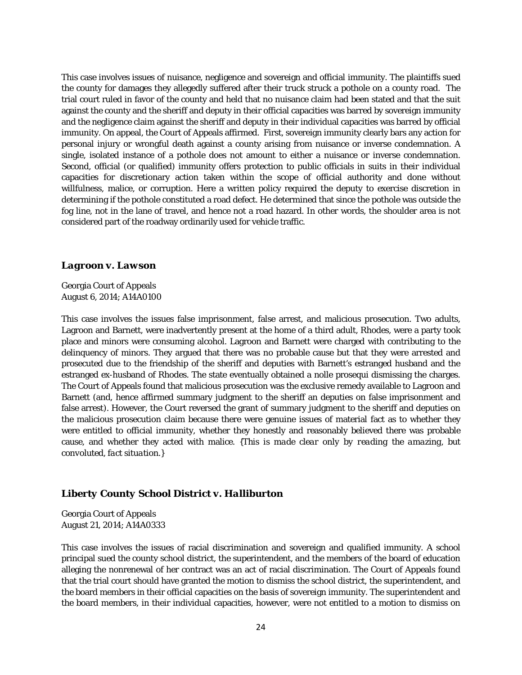This case involves issues of nuisance, negligence and sovereign and official immunity. The plaintiffs sued the county for damages they allegedly suffered after their truck struck a pothole on a county road. The trial court ruled in favor of the county and held that no nuisance claim had been stated and that the suit against the county and the sheriff and deputy in their official capacities was barred by sovereign immunity and the negligence claim against the sheriff and deputy in their individual capacities was barred by official immunity. On appeal, the Court of Appeals affirmed. First, sovereign immunity clearly bars any action for personal injury or wrongful death against a county arising from nuisance or inverse condemnation. A single, isolated instance of a pothole does not amount to either a nuisance or inverse condemnation. Second, official (or qualified) immunity offers protection to public officials in suits in their individual capacities for discretionary action taken within the scope of official authority and done without willfulness, malice, or corruption. Here a written policy required the deputy to exercise discretion in determining if the pothole constituted a road defect. He determined that since the pothole was outside the fog line, not in the lane of travel, and hence not a road hazard. In other words, the shoulder area is not considered part of the roadway ordinarily used for vehicle traffic.

#### *Lagroon v. Lawson*

Georgia Court of Appeals August 6, 2014; A14A0100

This case involves the issues false imprisonment, false arrest, and malicious prosecution. Two adults, Lagroon and Barnett, were inadvertently present at the home of a third adult, Rhodes, were a party took place and minors were consuming alcohol. Lagroon and Barnett were charged with contributing to the delinquency of minors. They argued that there was no probable cause but that they were arrested and prosecuted due to the friendship of the sheriff and deputies with Barnett's estranged husband and the estranged ex-husband of Rhodes. The state eventually obtained a nolle prosequi dismissing the charges. The Court of Appeals found that malicious prosecution was the exclusive remedy available to Lagroon and Barnett (and, hence affirmed summary judgment to the sheriff an deputies on false imprisonment and false arrest). However, the Court reversed the grant of summary judgment to the sheriff and deputies on the malicious prosecution claim because there were genuine issues of material fact as to whether they were entitled to official immunity, whether they honestly and reasonably believed there was probable cause, and whether they acted with malice. *{This is made clear only by reading the amazing, but convoluted, fact situation.}* 

#### *Liberty County School District v. Halliburton*

Georgia Court of Appeals August 21, 2014; A14A0333

This case involves the issues of racial discrimination and sovereign and qualified immunity. A school principal sued the county school district, the superintendent, and the members of the board of education alleging the nonrenewal of her contract was an act of racial discrimination. The Court of Appeals found that the trial court should have granted the motion to dismiss the school district, the superintendent, and the board members in their official capacities on the basis of sovereign immunity. The superintendent and the board members, in their individual capacities, however, were not entitled to a motion to dismiss on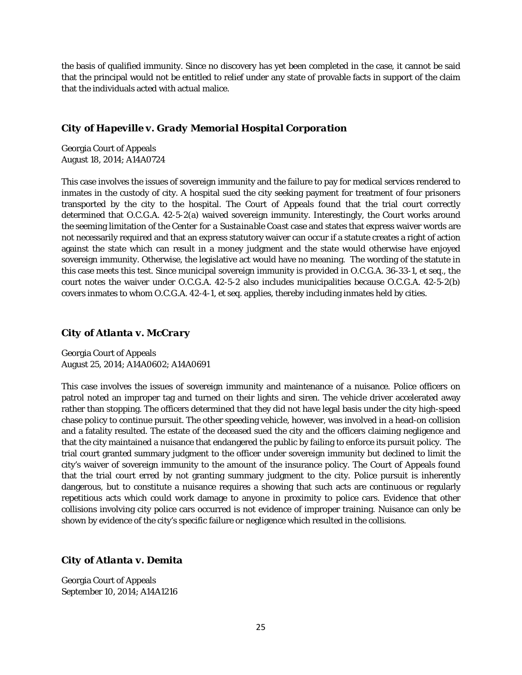the basis of qualified immunity. Since no discovery has yet been completed in the case, it cannot be said that the principal would not be entitled to relief under any state of provable facts in support of the claim that the individuals acted with actual malice.

#### *City of Hapeville v. Grady Memorial Hospital Corporation*

Georgia Court of Appeals August 18, 2014; A14A0724

This case involves the issues of sovereign immunity and the failure to pay for medical services rendered to inmates in the custody of city. A hospital sued the city seeking payment for treatment of four prisoners transported by the city to the hospital. The Court of Appeals found that the trial court correctly determined that O.C.G.A. 42-5-2(a) waived sovereign immunity. Interestingly, the Court works around the seeming limitation of the *Center for a Sustainable Coast* case and states that express waiver words are not necessarily required and that an express statutory waiver can occur if a statute creates a right of action against the state which can result in a money judgment and the state would otherwise have enjoyed sovereign immunity. Otherwise, the legislative act would have no meaning. The wording of the statute in this case meets this test. Since municipal sovereign immunity is provided in O.C.G.A. 36-33-1, *et seq.*, the court notes the waiver under O.C.G.A. 42-5-2 also includes municipalities because O.C.G.A. 42-5-2(b) covers inmates to whom O.C.G.A. 42-4-1, *et seq.* applies, thereby including inmates held by cities.

#### *City of Atlanta v. McCrary*

Georgia Court of Appeals August 25, 2014; A14A0602; A14A0691

This case involves the issues of sovereign immunity and maintenance of a nuisance. Police officers on patrol noted an improper tag and turned on their lights and siren. The vehicle driver accelerated away rather than stopping. The officers determined that they did not have legal basis under the city high-speed chase policy to continue pursuit. The other speeding vehicle, however, was involved in a head-on collision and a fatality resulted. The estate of the deceased sued the city and the officers claiming negligence and that the city maintained a nuisance that endangered the public by failing to enforce its pursuit policy. The trial court granted summary judgment to the officer under sovereign immunity but declined to limit the city's waiver of sovereign immunity to the amount of the insurance policy. The Court of Appeals found that the trial court erred by not granting summary judgment to the city. Police pursuit is inherently dangerous, but to constitute a nuisance requires a showing that such acts are continuous or regularly repetitious acts which could work damage to anyone in proximity to police cars. Evidence that other collisions involving city police cars occurred is not evidence of improper training. Nuisance can only be shown by evidence of the city's specific failure or negligence which resulted in the collisions.

#### *City of Atlanta v. Demita*

Georgia Court of Appeals September 10, 2014; A14A1216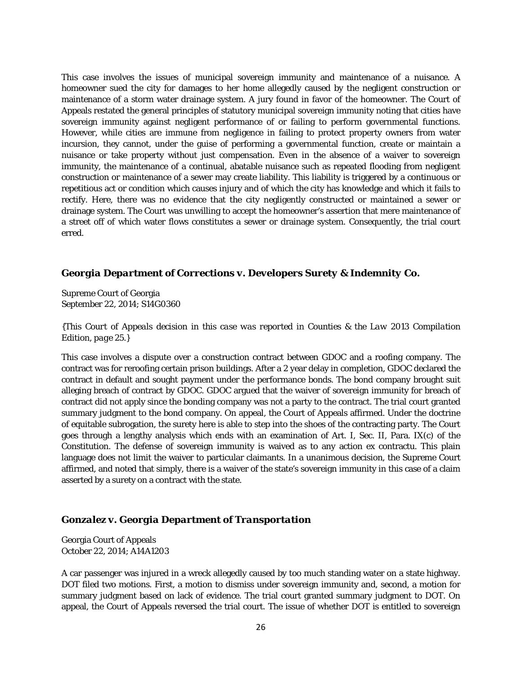This case involves the issues of municipal sovereign immunity and maintenance of a nuisance. A homeowner sued the city for damages to her home allegedly caused by the negligent construction or maintenance of a storm water drainage system. A jury found in favor of the homeowner. The Court of Appeals restated the general principles of statutory municipal sovereign immunity noting that cities have sovereign immunity against negligent performance of or failing to perform governmental functions. However, while cities are immune from negligence in failing to protect property owners from water incursion, they cannot, under the guise of performing a governmental function, create or maintain a nuisance or take property without just compensation. Even in the absence of a waiver to sovereign immunity, the maintenance of a continual, abatable nuisance such as repeated flooding from negligent construction or maintenance of a sewer may create liability. This liability is triggered by a continuous or repetitious act or condition which causes injury and of which the city has knowledge and which it fails to rectify. Here, there was no evidence that the city negligently constructed or maintained a sewer or drainage system. The Court was unwilling to accept the homeowner's assertion that mere maintenance of a street off of which water flows constitutes a sewer or drainage system. Consequently, the trial court erred.

#### *Georgia Department of Corrections v. Developers Surety & Indemnity Co.*

Supreme Court of Georgia September 22, 2014; S14G0360

*{This Court of Appeals decision in this case was reported in Counties & the Law 2013 Compilation Edition, page 25.}*

This case involves a dispute over a construction contract between GDOC and a roofing company. The contract was for reroofing certain prison buildings. After a 2 year delay in completion, GDOC declared the contract in default and sought payment under the performance bonds. The bond company brought suit alleging breach of contract by GDOC. GDOC argued that the waiver of sovereign immunity for breach of contract did not apply since the bonding company was not a party to the contract. The trial court granted summary judgment to the bond company. On appeal, the Court of Appeals affirmed. Under the doctrine of equitable subrogation, the surety here is able to step into the shoes of the contracting party. The Court goes through a lengthy analysis which ends with an examination of Art. I, Sec. II, Para. IX(c) of the Constitution. The defense of sovereign immunity is waived as to any action ex contractu. This plain language does not limit the waiver to particular claimants. In a unanimous decision, the Supreme Court affirmed, and noted that simply, there is a waiver of the state's sovereign immunity in this case of a claim asserted by a surety on a contract with the state.

#### *Gonzalez v. Georgia Department of Transportation*

Georgia Court of Appeals October 22, 2014; A14A1203

A car passenger was injured in a wreck allegedly caused by too much standing water on a state highway. DOT filed two motions. First, a motion to dismiss under sovereign immunity and, second, a motion for summary judgment based on lack of evidence. The trial court granted summary judgment to DOT. On appeal, the Court of Appeals reversed the trial court. The issue of whether DOT is entitled to sovereign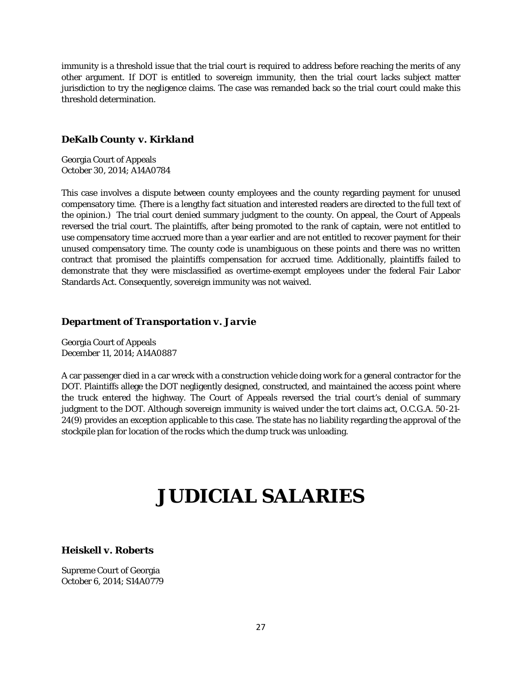immunity is a threshold issue that the trial court is required to address before reaching the merits of any other argument. If DOT is entitled to sovereign immunity, then the trial court lacks subject matter jurisdiction to try the negligence claims. The case was remanded back so the trial court could make this threshold determination.

#### *DeKalb County v. Kirkland*

Georgia Court of Appeals October 30, 2014; A14A0784

This case involves a dispute between county employees and the county regarding payment for unused compensatory time. {There is a lengthy fact situation and interested readers are directed to the full text of the opinion.) The trial court denied summary judgment to the county. On appeal, the Court of Appeals reversed the trial court. The plaintiffs, after being promoted to the rank of captain, were not entitled to use compensatory time accrued more than a year earlier and are not entitled to recover payment for their unused compensatory time. The county code is unambiguous on these points and there was no written contract that promised the plaintiffs compensation for accrued time. Additionally, plaintiffs failed to demonstrate that they were misclassified as overtime-exempt employees under the federal Fair Labor Standards Act. Consequently, sovereign immunity was not waived.

#### *Department of Transportation v. Jarvie*

Georgia Court of Appeals December 11, 2014; A14A0887

A car passenger died in a car wreck with a construction vehicle doing work for a general contractor for the DOT. Plaintiffs allege the DOT negligently designed, constructed, and maintained the access point where the truck entered the highway. The Court of Appeals reversed the trial court's denial of summary judgment to the DOT. Although sovereign immunity is waived under the tort claims act, O.C.G.A. 50-21- 24(9) provides an exception applicable to this case. The state has no liability regarding the approval of the stockpile plan for location of the rocks which the dump truck was unloading.

# **JUDICIAL SALARIES**

*Heiskell v. Roberts*

Supreme Court of Georgia October 6, 2014; S14A0779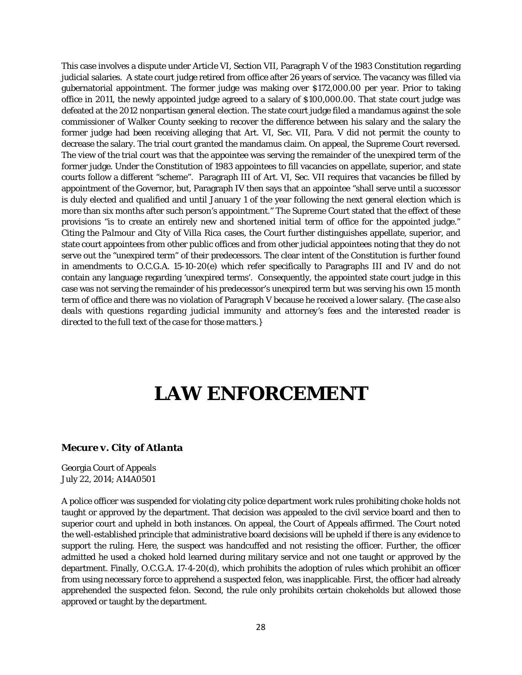This case involves a dispute under Article VI, Section VII, Paragraph V of the 1983 Constitution regarding judicial salaries. A state court judge retired from office after 26 years of service. The vacancy was filled via gubernatorial appointment. The former judge was making over \$172,000.00 per year. Prior to taking office in 2011, the newly appointed judge agreed to a salary of \$100,000.00. That state court judge was defeated at the 2012 nonpartisan general election. The state court judge filed a mandamus against the sole commissioner of Walker County seeking to recover the difference between his salary and the salary the former judge had been receiving alleging that Art. VI, Sec. VII, Para. V did not permit the county to decrease the salary. The trial court granted the mandamus claim. On appeal, the Supreme Court reversed. The view of the trial court was that the appointee was serving the remainder of the unexpired term of the former judge. Under the Constitution of 1983 appointees to fill vacancies on appellate, superior, and state courts follow a different "scheme". Paragraph III of Art. VI, Sec. VII requires that vacancies be filled by appointment of the Governor, but, Paragraph IV then says that an appointee "shall serve until a successor is duly elected and qualified and until January 1 of the year following the next general election which is more than six months after such person's appointment." The Supreme Court stated that the effect of these provisions "is to create an entirely new and shortened initial term of office for the appointed judge." Citing the *Palmour* and *City of Villa Rica* cases, the Court further distinguishes appellate, superior, and state court appointees from other public offices and from other judicial appointees noting that they do not serve out the "unexpired term" of their predecessors. The clear intent of the Constitution is further found in amendments to O.C.G.A. 15-10-20(e) which refer specifically to Paragraphs III and IV and do not contain any language regarding 'unexpired terms'. Consequently, the appointed state court judge in this case was not serving the remainder of his predecessor's unexpired term but was serving his own 15 month term of office and there was no violation of Paragraph V because he received a lower salary. *{The case also deals with questions regarding judicial immunity and attorney's fees and the interested reader is directed to the full text of the case for those matters.}*

# **LAW ENFORCEMENT**

#### *Mecure v. City of Atlanta*

Georgia Court of Appeals July 22, 2014; A14A0501

A police officer was suspended for violating city police department work rules prohibiting choke holds not taught or approved by the department. That decision was appealed to the civil service board and then to superior court and upheld in both instances. On appeal, the Court of Appeals affirmed. The Court noted the well-established principle that administrative board decisions will be upheld if there is any evidence to support the ruling. Here, the suspect was handcuffed and not resisting the officer. Further, the officer admitted he used a choked hold learned during military service and not one taught or approved by the department. Finally, O.C.G.A. 17-4-20(d), which prohibits the adoption of rules which prohibit an officer from using necessary force to apprehend a suspected felon, was inapplicable. First, the officer had already apprehended the suspected felon. Second, the rule only prohibits certain chokeholds but allowed those approved or taught by the department.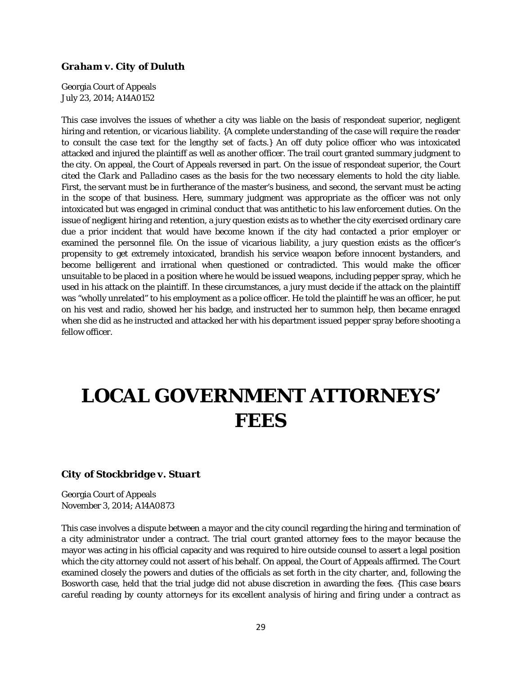#### *Graham v. City of Duluth*

Georgia Court of Appeals July 23, 2014; A14A0152

This case involves the issues of whether a city was liable on the basis of respondeat superior, negligent hiring and retention, or vicarious liability. *{A complete understanding of the case will require the reader to consult the case text for the lengthy set of facts.}* An off duty police officer who was intoxicated attacked and injured the plaintiff as well as another officer. The trail court granted summary judgment to the city. On appeal, the Court of Appeals reversed in part. On the issue of respondeat superior, the Court cited the *Clark* and *Palladino* cases as the basis for the two necessary elements to hold the city liable. First, the servant must be in furtherance of the master's business, and second, the servant must be acting in the scope of that business. Here, summary judgment was appropriate as the officer was not only intoxicated but was engaged in criminal conduct that was antithetic to his law enforcement duties. On the issue of negligent hiring and retention, a jury question exists as to whether the city exercised ordinary care due a prior incident that would have become known if the city had contacted a prior employer or examined the personnel file. On the issue of vicarious liability, a jury question exists as the officer's propensity to get extremely intoxicated, brandish his service weapon before innocent bystanders, and become belligerent and irrational when questioned or contradicted. This would make the officer unsuitable to be placed in a position where he would be issued weapons, including pepper spray, which he used in his attack on the plaintiff. In these circumstances, a jury must decide if the attack on the plaintiff was "wholly unrelated" to his employment as a police officer. He told the plaintiff he was an officer, he put on his vest and radio, showed her his badge, and instructed her to summon help, then became enraged when she did as he instructed and attacked her with his department issued pepper spray before shooting a fellow officer.

# **LOCAL GOVERNMENT ATTORNEYS' FEES**

#### *City of Stockbridge v. Stuart*

Georgia Court of Appeals November 3, 2014; A14A0873

This case involves a dispute between a mayor and the city council regarding the hiring and termination of a city administrator under a contract. The trial court granted attorney fees to the mayor because the mayor was acting in his official capacity and was required to hire outside counsel to assert a legal position which the city attorney could not assert of his behalf. On appeal, the Court of Appeals affirmed. The Court examined closely the powers and duties of the officials as set forth in the city charter, and, following the *Bosworth* case, held that the trial judge did not abuse discretion in awarding the fees. *{This case bears careful reading by county attorneys for its excellent analysis of hiring and firing under a contract as*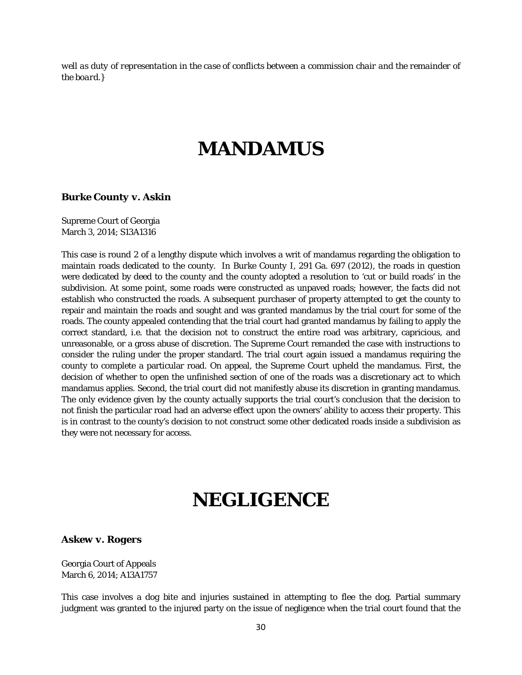*well as duty of representation in the case of conflicts between a commission chair and the remainder of the board.}*

### **MANDAMUS**

#### *Burke County v. Askin*

Supreme Court of Georgia March 3, 2014; S13A1316

This case is round 2 of a lengthy dispute which involves a writ of mandamus regarding the obligation to maintain roads dedicated to the county. In *Burke County I*, 291 Ga. 697 (2012), the roads in question were dedicated by deed to the county and the county adopted a resolution to 'cut or build roads' in the subdivision. At some point, some roads were constructed as unpaved roads; however, the facts did not establish who constructed the roads. A subsequent purchaser of property attempted to get the county to repair and maintain the roads and sought and was granted mandamus by the trial court for some of the roads. The county appealed contending that the trial court had granted mandamus by failing to apply the correct standard, *i.e.* that the decision not to construct the entire road was arbitrary, capricious, and unreasonable, or a gross abuse of discretion. The Supreme Court remanded the case with instructions to consider the ruling under the proper standard. The trial court again issued a mandamus requiring the county to complete a particular road. On appeal, the Supreme Court upheld the mandamus. First, the decision of whether to open the unfinished section of one of the roads was a discretionary act to which mandamus applies. Second, the trial court did not manifestly abuse its discretion in granting mandamus. The only evidence given by the county actually supports the trial court's conclusion that the decision to not finish the particular road had an adverse effect upon the owners' ability to access their property. This is in contrast to the county's decision to not construct some other dedicated roads inside a subdivision as they were not necessary for access.

### **NEGLIGENCE**

#### *Askew v. Rogers*

Georgia Court of Appeals March 6, 2014; A13A1757

This case involves a dog bite and injuries sustained in attempting to flee the dog. Partial summary judgment was granted to the injured party on the issue of negligence when the trial court found that the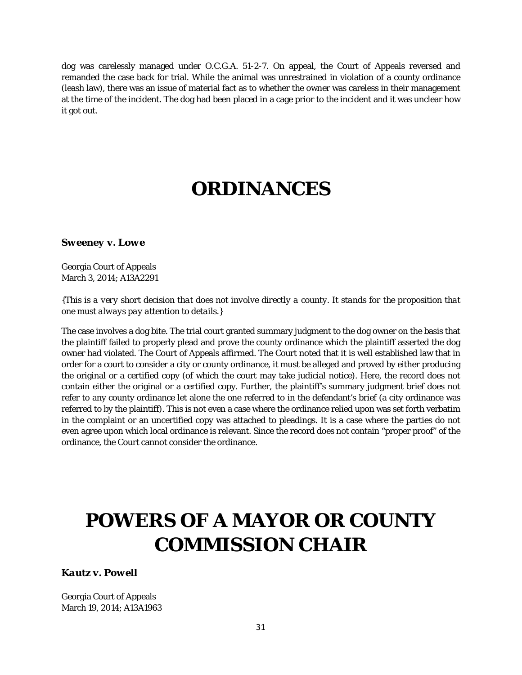dog was carelessly managed under O.C.G.A. 51-2-7. On appeal, the Court of Appeals reversed and remanded the case back for trial. While the animal was unrestrained in violation of a county ordinance (leash law), there was an issue of material fact as to whether the owner was careless in their management at the time of the incident. The dog had been placed in a cage prior to the incident and it was unclear how it got out.

# **ORDINANCES**

#### *Sweeney v. Lowe*

Georgia Court of Appeals March 3, 2014; A13A2291

#### *{This is a very short decision that does not involve directly a county. It stands for the proposition that one must always pay attention to details.}*

The case involves a dog bite. The trial court granted summary judgment to the dog owner on the basis that the plaintiff failed to properly plead and prove the county ordinance which the plaintiff asserted the dog owner had violated. The Court of Appeals affirmed. The Court noted that it is well established law that in order for a court to consider a city or county ordinance, it must be alleged and proved by either producing the original or a certified copy (of which the court may take judicial notice). Here, the record does not contain either the original or a certified copy. Further, the plaintiff's summary judgment brief does not refer to any county ordinance let alone the one referred to in the defendant's brief (a city ordinance was referred to by the plaintiff). This is not even a case where the ordinance relied upon was set forth verbatim in the complaint or an uncertified copy was attached to pleadings. It is a case where the parties do not even agree upon which local ordinance is relevant. Since the record does not contain "proper proof" of the ordinance, the Court cannot consider the ordinance.

# **POWERS OF A MAYOR OR COUNTY COMMISSION CHAIR**

*Kautz v. Powell*

Georgia Court of Appeals March 19, 2014; A13A1963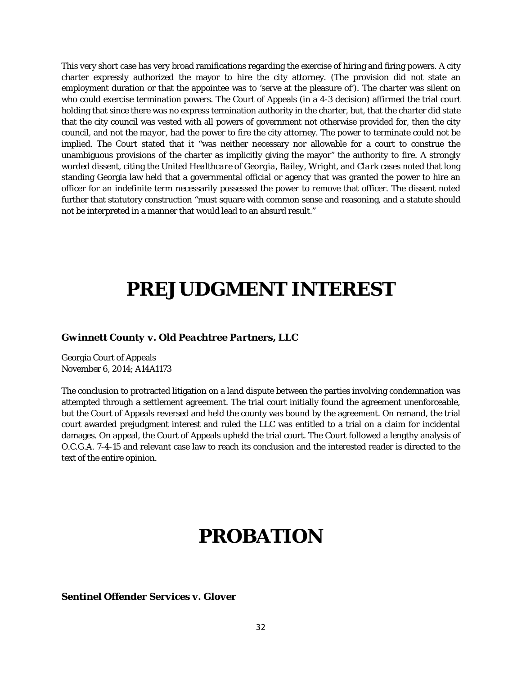This very short case has very broad ramifications regarding the exercise of hiring and firing powers. A city charter expressly authorized the mayor to hire the city attorney. (The provision did not state an employment duration or that the appointee was to 'serve at the pleasure of'). The charter was silent on who could exercise termination powers. The Court of Appeals (in a 4-3 decision) affirmed the trial court holding that since there was no express termination authority in the charter, but, that the charter did state that the city council was vested with all powers of government not otherwise provided for, then the city council, and *not the mayor*, had the power to fire the city attorney. The power to terminate could not be implied. The Court stated that it "was neither necessary nor allowable for a court to construe the unambiguous provisions of the charter as implicitly giving the mayor" the authority to fire. A strongly worded dissent, citing the *United Healthcare of Georgia*, *Bailey, Wright,* and *Clark* cases noted that long standing Georgia law held that a governmental official or agency that was granted the power to hire an officer for an indefinite term necessarily possessed the power to remove that officer. The dissent noted further that statutory construction "must square with common sense and reasoning, and a statute should not be interpreted in a manner that would lead to an absurd result."

# **PREJUDGMENT INTEREST**

#### *Gwinnett County v. Old Peachtree Partners, LLC*

Georgia Court of Appeals November 6, 2014; A14A1173

The conclusion to protracted litigation on a land dispute between the parties involving condemnation was attempted through a settlement agreement. The trial court initially found the agreement unenforceable, but the Court of Appeals reversed and held the county was bound by the agreement. On remand, the trial court awarded prejudgment interest and ruled the LLC was entitled to a trial on a claim for incidental damages. On appeal, the Court of Appeals upheld the trial court. The Court followed a lengthy analysis of O.C.G.A. 7-4-15 and relevant case law to reach its conclusion and the interested reader is directed to the text of the entire opinion.

### **PROBATION**

*Sentinel Offender Services v. Glover*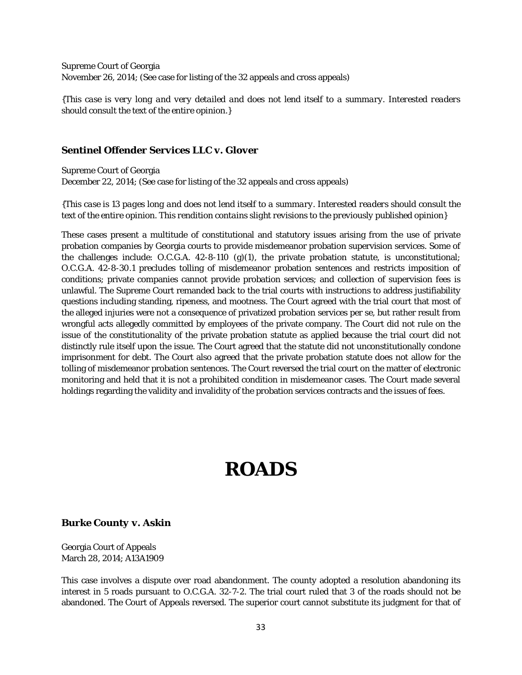Supreme Court of Georgia November 26, 2014; (See case for listing of the 32 appeals and cross appeals)

*{This case is very long and very detailed and does not lend itself to a summary. Interested readers should consult the text of the entire opinion.}*

#### *Sentinel Offender Services LLC v. Glover*

Supreme Court of Georgia December 22, 2014; (See case for listing of the 32 appeals and cross appeals)

*{This case is 13 pages long and does not lend itself to a summary. Interested readers should consult the text of the entire opinion. This rendition contains slight revisions to the previously published opinion}*

These cases present a multitude of constitutional and statutory issues arising from the use of private probation companies by Georgia courts to provide misdemeanor probation supervision services. Some of the challenges include: O.C.G.A. 42-8-110 (g)(1), the private probation statute, is unconstitutional; O.C.G.A. 42-8-30.1 precludes tolling of misdemeanor probation sentences and restricts imposition of conditions; private companies cannot provide probation services; and collection of supervision fees is unlawful. The Supreme Court remanded back to the trial courts with instructions to address justifiability questions including standing, ripeness, and mootness. The Court agreed with the trial court that most of the alleged injuries were not a consequence of privatized probation services per se, but rather result from wrongful acts allegedly committed by employees of the private company. The Court did not rule on the issue of the constitutionality of the private probation statute as applied because the trial court did not distinctly rule itself upon the issue. The Court agreed that the statute did not unconstitutionally condone imprisonment for debt. The Court also agreed that the private probation statute does not allow for the tolling of misdemeanor probation sentences. The Court reversed the trial court on the matter of electronic monitoring and held that it is not a prohibited condition in misdemeanor cases. The Court made several holdings regarding the validity and invalidity of the probation services contracts and the issues of fees.

# **ROADS**

#### *Burke County v. Askin*

Georgia Court of Appeals March 28, 2014; A13A1909

This case involves a dispute over road abandonment. The county adopted a resolution abandoning its interest in 5 roads pursuant to O.C.G.A. 32-7-2. The trial court ruled that 3 of the roads should not be abandoned. The Court of Appeals reversed. The superior court cannot substitute its judgment for that of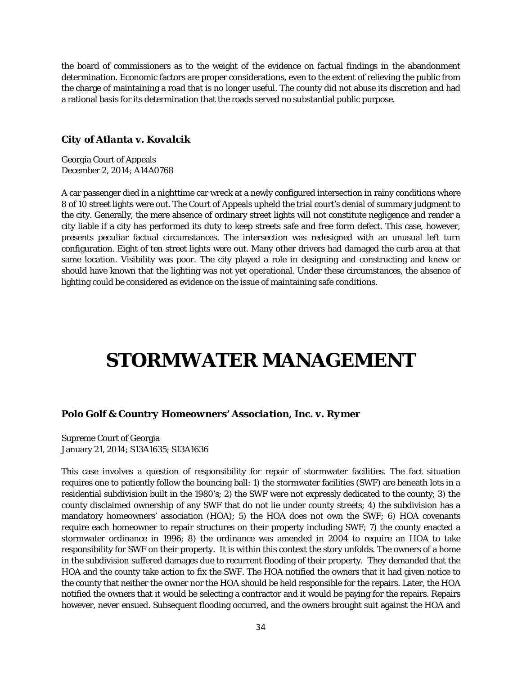the board of commissioners as to the weight of the evidence on factual findings in the abandonment determination. Economic factors are proper considerations, even to the extent of relieving the public from the charge of maintaining a road that is no longer useful. The county did not abuse its discretion and had a rational basis for its determination that the roads served no substantial public purpose.

#### *City of Atlanta v. Kovalcik*

Georgia Court of Appeals December 2, 2014; A14A0768

A car passenger died in a nighttime car wreck at a newly configured intersection in rainy conditions where 8 of 10 street lights were out. The Court of Appeals upheld the trial court's denial of summary judgment to the city. Generally, the mere absence of ordinary street lights will not constitute negligence and render a city liable if a city has performed its duty to keep streets safe and free form defect. This case, however, presents peculiar factual circumstances. The intersection was redesigned with an unusual left turn configuration. Eight of ten street lights were out. Many other drivers had damaged the curb area at that same location. Visibility was poor. The city played a role in designing and constructing and knew or should have known that the lighting was not yet operational. Under these circumstances, the absence of lighting could be considered as evidence on the issue of maintaining safe conditions.

# **STORMWATER MANAGEMENT**

#### *Polo Golf & Country Homeowners' Association, Inc. v. Rymer*

Supreme Court of Georgia January 21, 2014; S13A1635; S13A1636

This case involves a question of responsibility for repair of stormwater facilities. The fact situation requires one to patiently follow the bouncing ball: 1) the stormwater facilities (SWF) are beneath lots in a residential subdivision built in the 1980's; 2) the SWF were not expressly dedicated to the county; 3) the county disclaimed ownership of any SWF that do not lie under county streets; 4) the subdivision has a mandatory homeowners' association (HOA); 5) the HOA does not own the SWF; 6) HOA covenants require each homeowner to repair structures on their property including SWF; 7) the county enacted a stormwater ordinance in 1996; 8) the ordinance was amended in 2004 to require an HOA to take responsibility for SWF on their property. It is within this context the story unfolds. The owners of a home in the subdivision suffered damages due to recurrent flooding of their property. They demanded that the HOA and the county take action to fix the SWF. The HOA notified the owners that it had given notice to the county that neither the owner nor the HOA should be held responsible for the repairs. Later, the HOA notified the owners that it would be selecting a contractor and it would be paying for the repairs. Repairs however, never ensued. Subsequent flooding occurred, and the owners brought suit against the HOA and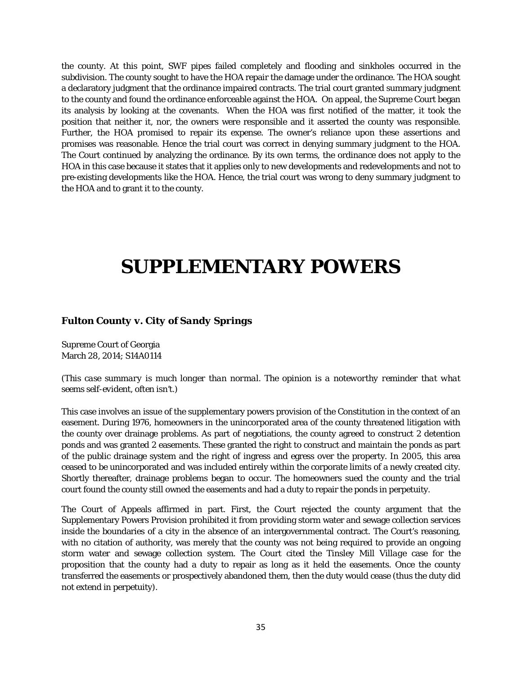the county. At this point, SWF pipes failed completely and flooding and sinkholes occurred in the subdivision. The county sought to have the HOA repair the damage under the ordinance. The HOA sought a declaratory judgment that the ordinance impaired contracts. The trial court granted summary judgment to the county and found the ordinance enforceable against the HOA. On appeal, the Supreme Court began its analysis by looking at the covenants. When the HOA was first notified of the matter, it took the position that neither it, nor, the owners were responsible and it asserted the county was responsible. Further, the HOA promised to repair its expense. The owner's reliance upon these assertions and promises was reasonable. Hence the trial court was correct in denying summary judgment to the HOA. The Court continued by analyzing the ordinance. By its own terms, the ordinance does not apply to the HOA in this case because it states that it applies only to new developments and redevelopments and not to pre-existing developments like the HOA. Hence, the trial court was wrong to deny summary judgment to the HOA and to grant it to the county.

### **SUPPLEMENTARY POWERS**

#### *Fulton County v. City of Sandy Springs*

Supreme Court of Georgia March 28, 2014; S14A0114

*(This case summary is much longer than normal. The opinion is a noteworthy reminder that what seems self-evident, often isn't.)*

This case involves an issue of the supplementary powers provision of the Constitution in the context of an easement. During 1976, homeowners in the unincorporated area of the county threatened litigation with the county over drainage problems. As part of negotiations, the county agreed to construct 2 detention ponds and was granted 2 easements. These granted the right to construct and maintain the ponds as part of the public drainage system and the right of ingress and egress over the property. In 2005, this area ceased to be unincorporated and was included entirely within the corporate limits of a newly created city. Shortly thereafter, drainage problems began to occur. The homeowners sued the county and the trial court found the county still owned the easements and had a duty to repair the ponds in perpetuity.

The Court of Appeals affirmed in part. First, the Court rejected the county argument that the Supplementary Powers Provision prohibited it from providing storm water and sewage collection services inside the boundaries of a city in the absence of an intergovernmental contract. The Court's reasoning, with no citation of authority, was merely that the county was not being required to provide an ongoing storm water and sewage collection system. The Court cited the *Tinsley Mill Village* case for the proposition that the county had a duty to repair as long as it held the easements. Once the county transferred the easements or prospectively abandoned them, then the duty would cease (thus the duty did not extend in perpetuity).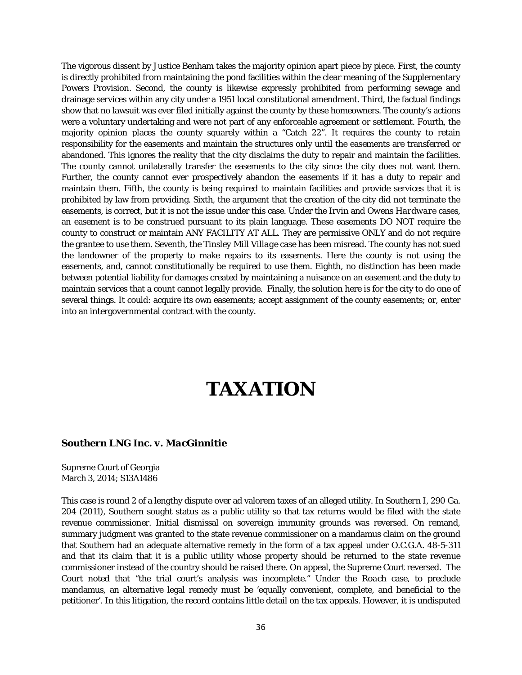The vigorous dissent by Justice Benham takes the majority opinion apart piece by piece. First, the county is directly prohibited from maintaining the pond facilities within the clear meaning of the Supplementary Powers Provision. Second, the county is likewise expressly prohibited from performing sewage and drainage services within any city under a 1951 local constitutional amendment. Third, the factual findings show that no lawsuit was ever filed initially against the county by these homeowners. The county's actions were a voluntary undertaking and were not part of any enforceable agreement or settlement. Fourth, the majority opinion places the county squarely within a "Catch 22". It requires the county to retain responsibility for the easements and maintain the structures only until the easements are transferred or abandoned. This ignores the reality that the city disclaims the duty to repair and maintain the facilities. The county cannot unilaterally transfer the easements to the city since the city does not want them. Further, the county cannot ever prospectively abandon the easements if it has a duty to repair and maintain them. Fifth, the county is being required to maintain facilities and provide services that it is prohibited by law from providing. Sixth, the argument that the creation of the city did not terminate the easements, is correct, but it is not the issue under this case. Under the *Irvin* and *Owens Hardware* cases, an easement is to be construed pursuant to its plain language. These easements DO NOT require the county to construct or maintain ANY FACILITY AT ALL. They are permissive ONLY and do not require the grantee to use them. Seventh, the *Tinsley Mill Village* case has been misread. The county has not sued the landowner of the property to make repairs to its easements. Here the county is not using the easements, and, cannot constitutionally be required to use them. Eighth, no distinction has been made between potential liability for damages created by maintaining a nuisance on an easement and the duty to maintain services that a count cannot legally provide. Finally, the solution here is for the city to do one of several things. It could: acquire its own easements; accept assignment of the county easements; or, enter into an intergovernmental contract with the county.

## **TAXATION**

#### *Southern LNG Inc. v. MacGinnitie*

Supreme Court of Georgia March 3, 2014; S13A1486

This case is round 2 of a lengthy dispute over ad valorem taxes of an alleged utility. In *Southern I*, 290 Ga. 204 (2011), Southern sought status as a public utility so that tax returns would be filed with the state revenue commissioner. Initial dismissal on sovereign immunity grounds was reversed. On remand, summary judgment was granted to the state revenue commissioner on a mandamus claim on the ground that Southern had an adequate alternative remedy in the form of a tax appeal under O.C.G.A. 48-5-311 and that its claim that it is a public utility whose property should be returned to the state revenue commissioner instead of the country should be raised there. On appeal, the Supreme Court reversed. The Court noted that "the trial court's analysis was incomplete." Under the *Roach* case, to preclude mandamus, an alternative legal remedy must be 'equally convenient, complete, and beneficial to the petitioner'. In this litigation, the record contains little detail on the tax appeals. However, it is undisputed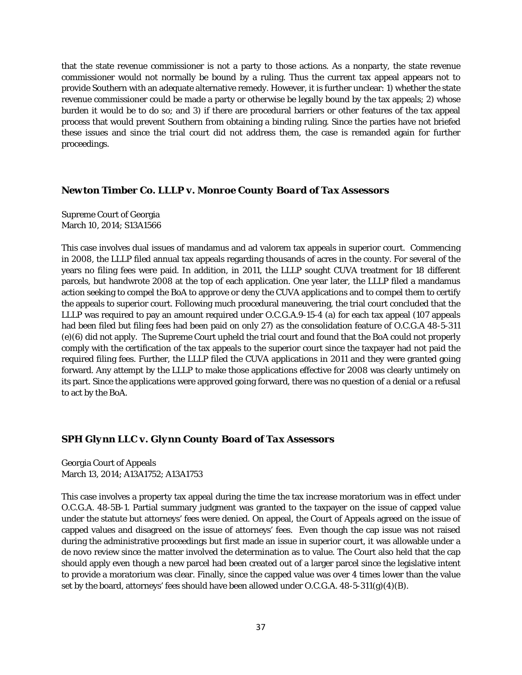that the state revenue commissioner is not a party to those actions. As a nonparty, the state revenue commissioner would not normally be bound by a ruling. Thus the current tax appeal appears not to provide Southern with an adequate alternative remedy. However, it is further unclear: 1) whether the state revenue commissioner could be made a party or otherwise be legally bound by the tax appeals; 2) whose burden it would be to do so; and 3) if there are procedural barriers or other features of the tax appeal process that would prevent Southern from obtaining a binding ruling. Since the parties have not briefed these issues and since the trial court did not address them, the case is remanded again for further proceedings.

#### *Newton Timber Co. LLLP v. Monroe County Board of Tax Assessors*

Supreme Court of Georgia March 10, 2014; S13A1566

This case involves dual issues of mandamus and ad valorem tax appeals in superior court. Commencing in 2008, the LLLP filed annual tax appeals regarding thousands of acres in the county. For several of the years no filing fees were paid. In addition, in 2011, the LLLP sought CUVA treatment for 18 different parcels, but handwrote 2008 at the top of each application. One year later, the LLLP filed a mandamus action seeking to compel the BoA to approve or deny the CUVA applications and to compel them to certify the appeals to superior court. Following much procedural maneuvering, the trial court concluded that the LLLP was required to pay an amount required under O.C.G.A.9-15-4 (a) for each tax appeal (107 appeals had been filed but filing fees had been paid on only 27) as the consolidation feature of O.C.G.A 48-5-311 (e)(6) did not apply. The Supreme Court upheld the trial court and found that the BoA could not properly comply with the certification of the tax appeals to the superior court since the taxpayer had not paid the required filing fees. Further, the LLLP filed the CUVA applications in 2011 and they were granted going forward. Any attempt by the LLLP to make those applications effective for 2008 was clearly untimely on its part. Since the applications were approved going forward, there was no question of a denial or a refusal to act by the BoA.

#### *SPH Glynn LLC v. Glynn County Board of Tax Assessors*

Georgia Court of Appeals March 13, 2014; A13A1752; A13A1753

This case involves a property tax appeal during the time the tax increase moratorium was in effect under O.C.G.A. 48-5B-1. Partial summary judgment was granted to the taxpayer on the issue of capped value under the statute but attorneys' fees were denied. On appeal, the Court of Appeals agreed on the issue of capped values and disagreed on the issue of attorneys' fees. Even though the cap issue was not raised during the administrative proceedings but first made an issue in superior court, it was allowable under a de novo review since the matter involved the determination as to value. The Court also held that the cap should apply even though a new parcel had been created out of a larger parcel since the legislative intent to provide a moratorium was clear. Finally, since the capped value was over 4 times lower than the value set by the board, attorneys' fees should have been allowed under O.C.G.A. 48-5-311(g)(4)(B).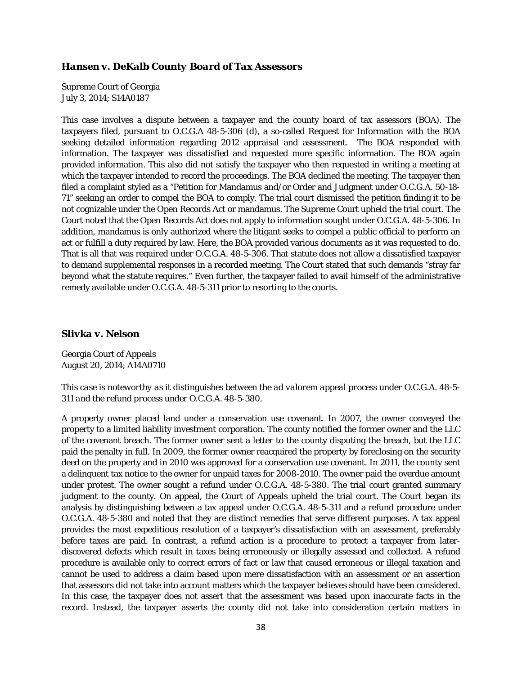#### *Hansen v. DeKalb County Board of Tax Assessors*

Supreme Court of Georgia July 3, 2014; S14A0187

This case involves a dispute between a taxpayer and the county board of tax assessors (BOA). The taxpayers filed, pursuant to O.C.G.A 48-5-306 (d), a so-called Request for Information with the BOA seeking detailed information regarding 2012 appraisal and assessment. The BOA responded with information. The taxpayer was dissatisfied and requested more specific information. The BOA again provided information. This also did not satisfy the taxpayer who then requested in writing a meeting at which the taxpayer intended to record the proceedings. The BOA declined the meeting. The taxpayer then filed a complaint styled as a "Petition for Mandamus and/or Order and Judgment under O.C.G.A. 50-18- 71" seeking an order to compel the BOA to comply. The trial court dismissed the petition finding it to be not cognizable under the Open Records Act or mandamus. The Supreme Court upheld the trial court. The Court noted that the Open Records Act does not apply to information sought under O.C.G.A. 48-5-306. In addition, mandamus is only authorized where the litigant seeks to compel a public official to perform an act or fulfill a duty required by law. Here, the BOA provided various documents as it was requested to do. That is all that was required under O.C.G.A. 48-5-306. That statute does not allow a dissatisfied taxpayer to demand supplemental responses in a recorded meeting. The Court stated that such demands "stray far beyond what the statute requires." Even further, the taxpayer failed to avail himself of the administrative remedy available under O.C.G.A. 48-5-311 prior to resorting to the courts.

#### *Slivka v. Nelson*

Georgia Court of Appeals August 20, 2014; A14A0710

*This case is noteworthy as it distinguishes between the ad valorem appeal process under O.C.G.A. 48-5- 311 and the refund process under O.C.G.A. 48-5-380.*

A property owner placed land under a conservation use covenant. In 2007, the owner conveyed the property to a limited liability investment corporation. The county notified the former owner and the LLC of the covenant breach. The former owner sent a letter to the county disputing the breach, but the LLC paid the penalty in full. In 2009, the former owner reacquired the property by foreclosing on the security deed on the property and in 2010 was approved for a conservation use covenant. In 2011, the county sent a delinquent tax notice to the owner for unpaid taxes for 2008-2010. The owner paid the overdue amount under protest. The owner sought a refund under O.C.G.A. 48-5-380. The trial court granted summary judgment to the county. On appeal, the Court of Appeals upheld the trial court. The Court began its analysis by distinguishing between a tax appeal under O.C.G.A. 48-5-311 and a refund procedure under O.C.G.A. 48-5-380 and noted that they are distinct remedies that serve different purposes. A tax appeal provides the most expeditious resolution of a taxpayer's dissatisfaction with an assessment, preferably before taxes are paid. In contrast, a refund action is a procedure to protect a taxpayer from laterdiscovered defects which result in taxes being erroneously or illegally assessed and collected. A refund procedure is available only to correct errors of fact or law that caused erroneous or illegal taxation and cannot be used to address a claim based upon mere dissatisfaction with an assessment or an assertion that assessors did not take into account matters which the taxpayer believes should have been considered. In this case, the taxpayer does not assert that the assessment was based upon inaccurate facts in the record. Instead, the taxpayer asserts the county did not take into consideration certain matters in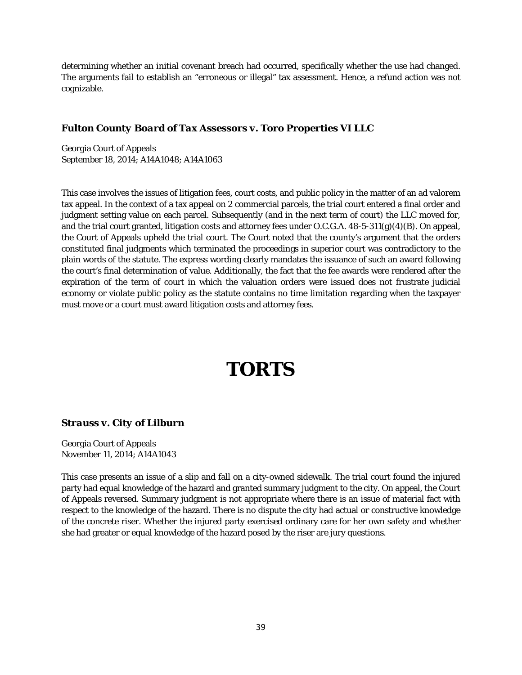determining whether an initial covenant breach had occurred, specifically whether the use had changed. The arguments fail to establish an "erroneous or illegal" tax assessment. Hence, a refund action was not cognizable.

#### *Fulton County Board of Tax Assessors v. Toro Properties VI LLC*

Georgia Court of Appeals September 18, 2014; A14A1048; A14A1063

This case involves the issues of litigation fees, court costs, and public policy in the matter of an ad valorem tax appeal. In the context of a tax appeal on 2 commercial parcels, the trial court entered a final order and judgment setting value on each parcel. Subsequently (and in the next term of court) the LLC moved for, and the trial court granted, litigation costs and attorney fees under O.C.G.A. 48-5-311(g)(4)(B). On appeal, the Court of Appeals upheld the trial court. The Court noted that the county's argument that the orders constituted final judgments which terminated the proceedings in superior court was contradictory to the plain words of the statute. The express wording clearly mandates the issuance of such an award following the court's final determination of value. Additionally, the fact that the fee awards were rendered after the expiration of the term of court in which the valuation orders were issued does not frustrate judicial economy or violate public policy as the statute contains no time limitation regarding when the taxpayer must move or a court must award litigation costs and attorney fees.

# **TORTS**

#### *Strauss v. City of Lilburn*

Georgia Court of Appeals November 11, 2014; A14A1043

This case presents an issue of a slip and fall on a city-owned sidewalk. The trial court found the injured party had equal knowledge of the hazard and granted summary judgment to the city. On appeal, the Court of Appeals reversed. Summary judgment is not appropriate where there is an issue of material fact with respect to the knowledge of the hazard. There is no dispute the city had actual or constructive knowledge of the concrete riser. Whether the injured party exercised ordinary care for her own safety and whether she had greater or equal knowledge of the hazard posed by the riser are jury questions.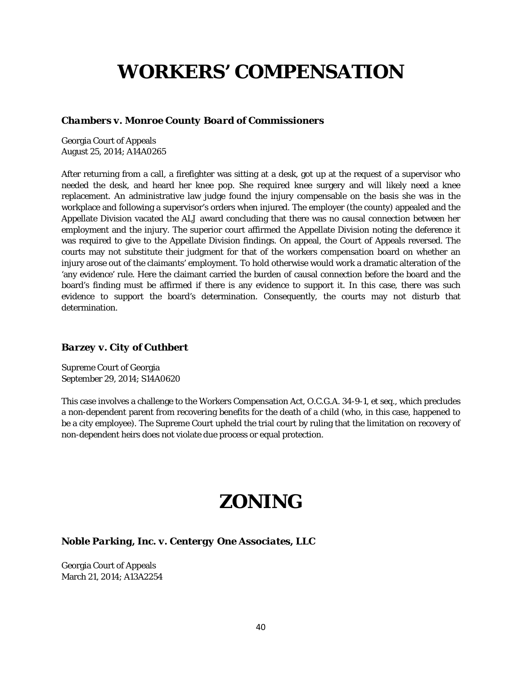# **WORKERS' COMPENSATION**

#### *Chambers v. Monroe County Board of Commissioners*

Georgia Court of Appeals August 25, 2014; A14A0265

After returning from a call, a firefighter was sitting at a desk, got up at the request of a supervisor who needed the desk, and heard her knee pop. She required knee surgery and will likely need a knee replacement. An administrative law judge found the injury compensable on the basis she was in the workplace and following a supervisor's orders when injured. The employer (the county) appealed and the Appellate Division vacated the ALJ award concluding that there was no causal connection between her employment and the injury. The superior court affirmed the Appellate Division noting the deference it was required to give to the Appellate Division findings. On appeal, the Court of Appeals reversed. The courts may not substitute their judgment for that of the workers compensation board on whether an injury arose out of the claimants' employment. To hold otherwise would work a dramatic alteration of the 'any evidence' rule. Here the claimant carried the burden of causal connection before the board and the board's finding must be affirmed if there is any evidence to support it. In this case, there was such evidence to support the board's determination. Consequently, the courts may not disturb that determination.

#### *Barzey v. City of Cuthbert*

Supreme Court of Georgia September 29, 2014; S14A0620

This case involves a challenge to the Workers Compensation Act, O.C.G.A. 34-9-1, *et seq.*, which precludes a non-dependent parent from recovering benefits for the death of a child (who, in this case, happened to be a city employee). The Supreme Court upheld the trial court by ruling that the limitation on recovery of non-dependent heirs does not violate due process or equal protection.

# **ZONING**

#### *Noble Parking, Inc. v. Centergy One Associates, LLC*

Georgia Court of Appeals March 21, 2014; A13A2254